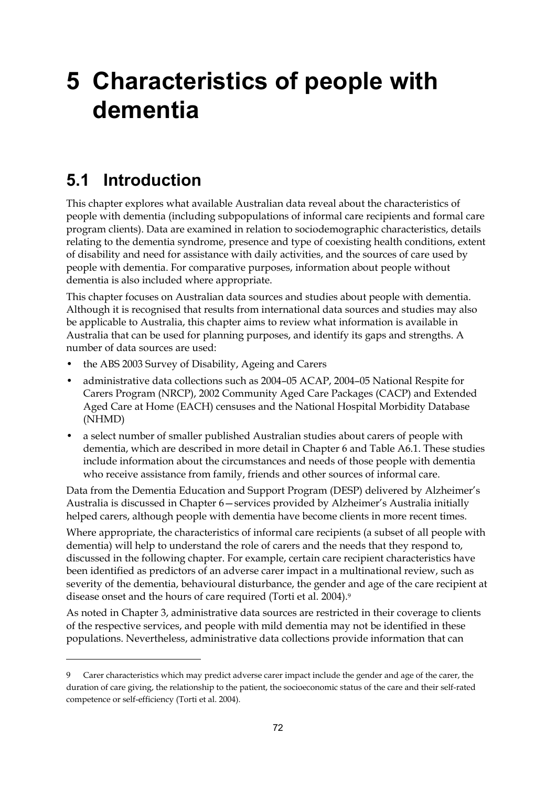# **5 Characteristics of people with dementia**

## **5.1 Introduction**

 $\ddot{\phantom{a}}$ 

This chapter explores what available Australian data reveal about the characteristics of people with dementia (including subpopulations of informal care recipients and formal care program clients). Data are examined in relation to sociodemographic characteristics, details relating to the dementia syndrome, presence and type of coexisting health conditions, extent of disability and need for assistance with daily activities, and the sources of care used by people with dementia. For comparative purposes, information about people without dementia is also included where appropriate.

This chapter focuses on Australian data sources and studies about people with dementia. Although it is recognised that results from international data sources and studies may also be applicable to Australia, this chapter aims to review what information is available in Australia that can be used for planning purposes, and identify its gaps and strengths. A number of data sources are used:

- the ABS 2003 Survey of Disability, Ageing and Carers
- administrative data collections such as 2004–05 ACAP, 2004–05 National Respite for Carers Program (NRCP), 2002 Community Aged Care Packages (CACP) and Extended Aged Care at Home (EACH) censuses and the National Hospital Morbidity Database (NHMD)
- a select number of smaller published Australian studies about carers of people with dementia, which are described in more detail in Chapter 6 and Table A6.1. These studies include information about the circumstances and needs of those people with dementia who receive assistance from family, friends and other sources of informal care.

Data from the Dementia Education and Support Program (DESP) delivered by Alzheimer's Australia is discussed in Chapter 6—services provided by Alzheimer's Australia initially helped carers, although people with dementia have become clients in more recent times.

Where appropriate, the characteristics of informal care recipients (a subset of all people with dementia) will help to understand the role of carers and the needs that they respond to, discussed in the following chapter. For example, certain care recipient characteristics have been identified as predictors of an adverse carer impact in a multinational review, such as severity of the dementia, behavioural disturbance, the gender and age of the care recipient at disease onset and the hours of care required (Torti et al. 2004).<sup>9</sup>

As noted in Chapter 3, administrative data sources are restricted in their coverage to clients of the respective services, and people with mild dementia may not be identified in these populations. Nevertheless, administrative data collections provide information that can

Carer characteristics which may predict adverse carer impact include the gender and age of the carer, the duration of care giving, the relationship to the patient, the socioeconomic status of the care and their self-rated competence or self-efficiency (Torti et al. 2004).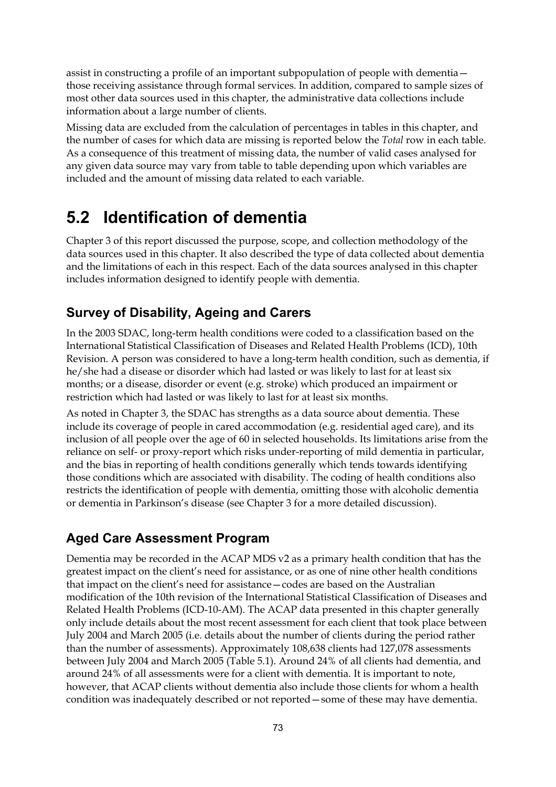assist in constructing a profile of an important subpopulation of people with dementia those receiving assistance through formal services. In addition, compared to sample sizes of most other data sources used in this chapter, the administrative data collections include information about a large number of clients.

Missing data are excluded from the calculation of percentages in tables in this chapter, and the number of cases for which data are missing is reported below the *Total* row in each table. As a consequence of this treatment of missing data, the number of valid cases analysed for any given data source may vary from table to table depending upon which variables are included and the amount of missing data related to each variable.

## **5.2 Identification of dementia**

Chapter 3 of this report discussed the purpose, scope, and collection methodology of the data sources used in this chapter. It also described the type of data collected about dementia and the limitations of each in this respect. Each of the data sources analysed in this chapter includes information designed to identify people with dementia.

### **Survey of Disability, Ageing and Carers**

In the 2003 SDAC, long-term health conditions were coded to a classification based on the International Statistical Classification of Diseases and Related Health Problems (ICD), 10th Revision. A person was considered to have a long-term health condition, such as dementia, if he/she had a disease or disorder which had lasted or was likely to last for at least six months; or a disease, disorder or event (e.g. stroke) which produced an impairment or restriction which had lasted or was likely to last for at least six months.

As noted in Chapter 3, the SDAC has strengths as a data source about dementia. These include its coverage of people in cared accommodation (e.g. residential aged care), and its inclusion of all people over the age of 60 in selected households. Its limitations arise from the reliance on self- or proxy-report which risks under-reporting of mild dementia in particular, and the bias in reporting of health conditions generally which tends towards identifying those conditions which are associated with disability. The coding of health conditions also restricts the identification of people with dementia, omitting those with alcoholic dementia or dementia in Parkinson's disease (see Chapter 3 for a more detailed discussion).

### **Aged Care Assessment Program**

Dementia may be recorded in the ACAP MDS v2 as a primary health condition that has the greatest impact on the client's need for assistance, or as one of nine other health conditions that impact on the client's need for assistance—codes are based on the Australian modification of the 10th revision of the International Statistical Classification of Diseases and Related Health Problems (ICD-10-AM). The ACAP data presented in this chapter generally only include details about the most recent assessment for each client that took place between July 2004 and March 2005 (i.e. details about the number of clients during the period rather than the number of assessments). Approximately 108,638 clients had 127,078 assessments between July 2004 and March 2005 (Table 5.1). Around 24% of all clients had dementia, and around 24% of all assessments were for a client with dementia. It is important to note, however, that ACAP clients without dementia also include those clients for whom a health condition was inadequately described or not reported—some of these may have dementia.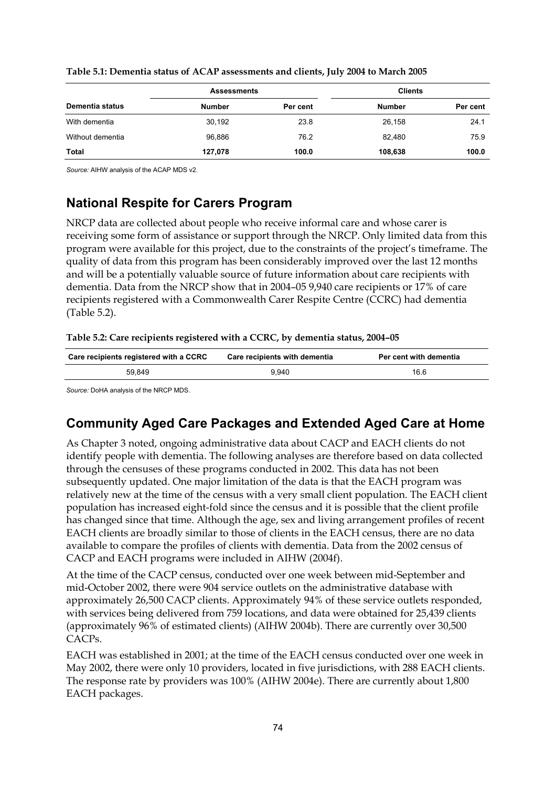|                  | <b>Assessments</b> |          | <b>Clients</b> |          |  |
|------------------|--------------------|----------|----------------|----------|--|
| Dementia status  | <b>Number</b>      | Per cent | Number         | Per cent |  |
| With dementia    | 30.192             | 23.8     | 26,158         | 24.1     |  |
| Without dementia | 96.886             | 76.2     | 82,480         | 75.9     |  |
| Total            | 127,078            | 100.0    | 108,638        | 100.0    |  |

#### **Table 5.1: Dementia status of ACAP assessments and clients, July 2004 to March 2005**

*Source:* AIHW analysis of the ACAP MDS v2.

### **National Respite for Carers Program**

NRCP data are collected about people who receive informal care and whose carer is receiving some form of assistance or support through the NRCP. Only limited data from this program were available for this project, due to the constraints of the project's timeframe. The quality of data from this program has been considerably improved over the last 12 months and will be a potentially valuable source of future information about care recipients with dementia. Data from the NRCP show that in 2004–05 9,940 care recipients or 17% of care recipients registered with a Commonwealth Carer Respite Centre (CCRC) had dementia (Table 5.2).

#### **Table 5.2: Care recipients registered with a CCRC, by dementia status, 2004–05**

| Care recipients registered with a CCRC | Care recipients with dementia | Per cent with dementia |
|----------------------------------------|-------------------------------|------------------------|
| 59.849                                 | 9.940                         | 16.6                   |

*Source:* DoHA analysis of the NRCP MDS.

### **Community Aged Care Packages and Extended Aged Care at Home**

As Chapter 3 noted, ongoing administrative data about CACP and EACH clients do not identify people with dementia. The following analyses are therefore based on data collected through the censuses of these programs conducted in 2002. This data has not been subsequently updated. One major limitation of the data is that the EACH program was relatively new at the time of the census with a very small client population. The EACH client population has increased eight-fold since the census and it is possible that the client profile has changed since that time. Although the age, sex and living arrangement profiles of recent EACH clients are broadly similar to those of clients in the EACH census, there are no data available to compare the profiles of clients with dementia. Data from the 2002 census of CACP and EACH programs were included in AIHW (2004f).

At the time of the CACP census, conducted over one week between mid-September and mid-October 2002, there were 904 service outlets on the administrative database with approximately 26,500 CACP clients. Approximately 94% of these service outlets responded, with services being delivered from 759 locations, and data were obtained for 25,439 clients (approximately 96% of estimated clients) (AIHW 2004b). There are currently over 30,500 CACPs.

EACH was established in 2001; at the time of the EACH census conducted over one week in May 2002, there were only 10 providers, located in five jurisdictions, with 288 EACH clients. The response rate by providers was 100% (AIHW 2004e). There are currently about 1,800 EACH packages.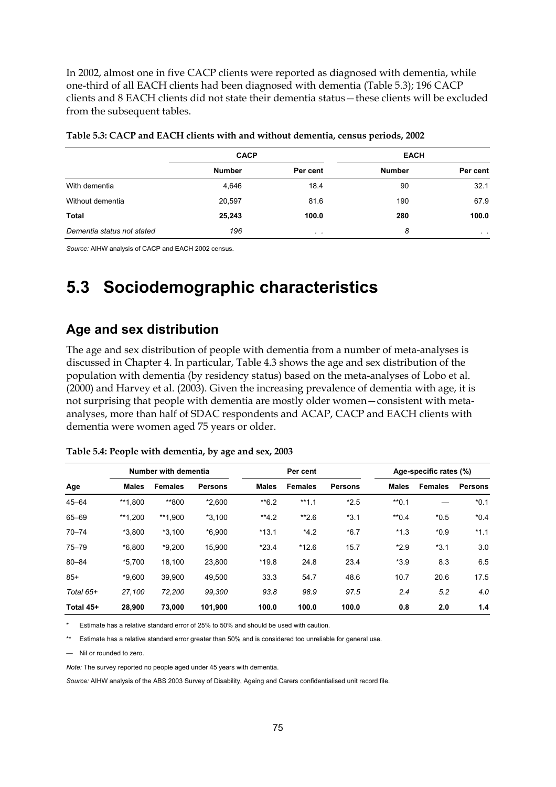In 2002, almost one in five CACP clients were reported as diagnosed with dementia, while one-third of all EACH clients had been diagnosed with dementia (Table 5.3); 196 CACP clients and 8 EACH clients did not state their dementia status—these clients will be excluded from the subsequent tables.

|                            | <b>CACP</b>   |           | <b>EACH</b>   |                |
|----------------------------|---------------|-----------|---------------|----------------|
|                            | <b>Number</b> | Per cent  | <b>Number</b> | Per cent       |
| With dementia              | 4,646         | 18.4      | 90            | 32.1           |
| Without dementia           | 20,597        | 81.6      | 190           | 67.9           |
| Total                      | 25,243        | 100.0     | 280           | 100.0          |
| Dementia status not stated | 196           | $\cdot$ . | 8             | $\sim$ $ \sim$ |

| Table 5.3: CACP and EACH clients with and without dementia, census periods, 2002 |  |  |
|----------------------------------------------------------------------------------|--|--|
|----------------------------------------------------------------------------------|--|--|

*Source:* AIHW analysis of CACP and EACH 2002 census.

## **5.3 Sociodemographic characteristics**

### **Age and sex distribution**

The age and sex distribution of people with dementia from a number of meta-analyses is discussed in Chapter 4. In particular, Table 4.3 shows the age and sex distribution of the population with dementia (by residency status) based on the meta-analyses of Lobo et al. (2000) and Harvey et al. (2003). Given the increasing prevalence of dementia with age, it is not surprising that people with dementia are mostly older women—consistent with metaanalyses, more than half of SDAC respondents and ACAP, CACP and EACH clients with dementia were women aged 75 years or older.

| Number with dementia |              |                | Per cent       |              |                | Age-specific rates (%) |              |                |                |
|----------------------|--------------|----------------|----------------|--------------|----------------|------------------------|--------------|----------------|----------------|
| Age                  | <b>Males</b> | <b>Females</b> | <b>Persons</b> | <b>Males</b> | <b>Females</b> | <b>Persons</b>         | <b>Males</b> | <b>Females</b> | <b>Persons</b> |
| $45 - 64$            | **1.800      | **800          | $*2.600$       | $*$ 6.2      | $**1.1$        | $*2.5$                 | $*$ 0.1      |                | $*0.1$         |
| 65-69                | **1,200      | **1.900        | $*3,100$       | $**4.2$      | $*2.6$         | $*3.1$                 | $*$ 0.4      | $*0.5$         | $*0.4$         |
| $70 - 74$            | $*3.800$     | $*3.100$       | $*6.900$       | $*13.1$      | $*4.2$         | $*6.7$                 | $*1.3$       | $*0.9$         | $*1.1$         |
| $75 - 79$            | $*6.800$     | $*9,200$       | 15.900         | $*23.4$      | $*12.6$        | 15.7                   | $*2.9$       | $*3.1$         | 3.0            |
| $80 - 84$            | $*5.700$     | 18.100         | 23,800         | $*19.8$      | 24.8           | 23.4                   | $*3.9$       | 8.3            | 6.5            |
| $85+$                | $*9.600$     | 39.900         | 49,500         | 33.3         | 54.7           | 48.6                   | 10.7         | 20.6           | 17.5           |
| Total 65+            | 27.100       | 72.200         | 99.300         | 93.8         | 98.9           | 97.5                   | 2.4          | 5.2            | 4.0            |
| Total 45+            | 28.900       | 73,000         | 101,900        | 100.0        | 100.0          | 100.0                  | 0.8          | 2.0            | 1.4            |

**Table 5.4: People with dementia, by age and sex, 2003** 

Estimate has a relative standard error of 25% to 50% and should be used with caution.

\*\* Estimate has a relative standard error greater than 50% and is considered too unreliable for general use.

— Nil or rounded to zero.

*Note:* The survey reported no people aged under 45 years with dementia.

*Source:* AIHW analysis of the ABS 2003 Survey of Disability, Ageing and Carers confidentialised unit record file.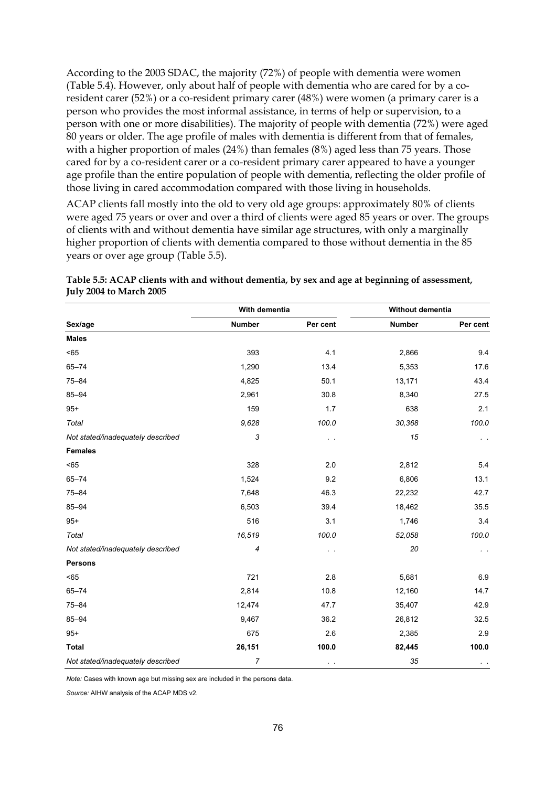According to the 2003 SDAC, the majority (72%) of people with dementia were women (Table 5.4). However, only about half of people with dementia who are cared for by a coresident carer (52%) or a co-resident primary carer (48%) were women (a primary carer is a person who provides the most informal assistance, in terms of help or supervision, to a person with one or more disabilities). The majority of people with dementia (72%) were aged 80 years or older. The age profile of males with dementia is different from that of females, with a higher proportion of males (24%) than females (8%) aged less than 75 years. Those cared for by a co-resident carer or a co-resident primary carer appeared to have a younger age profile than the entire population of people with dementia, reflecting the older profile of those living in cared accommodation compared with those living in households.

ACAP clients fall mostly into the old to very old age groups: approximately 80% of clients were aged 75 years or over and over a third of clients were aged 85 years or over. The groups of clients with and without dementia have similar age structures, with only a marginally higher proportion of clients with dementia compared to those without dementia in the 85 years or over age group (Table 5.5).

|                                   | With dementia |               | Without dementia |                |  |
|-----------------------------------|---------------|---------------|------------------|----------------|--|
| Sex/age                           | <b>Number</b> | Per cent      | Number           | Per cent       |  |
| <b>Males</b>                      |               |               |                  |                |  |
| < 65                              | 393           | 4.1           | 2,866            | 9.4            |  |
| $65 - 74$                         | 1,290         | 13.4          | 5,353            | 17.6           |  |
| $75 - 84$                         | 4,825         | 50.1          | 13,171           | 43.4           |  |
| $85 - 94$                         | 2,961         | 30.8          | 8,340            | 27.5           |  |
| $95+$                             | 159           | 1.7           | 638              | 2.1            |  |
| Total                             | 9,628         | 100.0         | 30,368           | 100.0          |  |
| Not stated/inadequately described | 3             | $\sim$ $\sim$ | 15               | $\sim$ $ \sim$ |  |
| <b>Females</b>                    |               |               |                  |                |  |
| < 65                              | 328           | 2.0           | 2,812            | 5.4            |  |
| $65 - 74$                         | 1,524         | 9.2           | 6,806            | 13.1           |  |
| $75 - 84$                         | 7,648         | 46.3          | 22,232           | 42.7           |  |
| $85 - 94$                         | 6,503         | 39.4          | 18,462           | 35.5           |  |
| $95+$                             | 516           | 3.1           | 1,746            | 3.4            |  |
| Total                             | 16,519        | 100.0         | 52,058           | 100.0          |  |
| Not stated/inadequately described | 4             | $\sim$        | 20               | $\sim$ $\sim$  |  |
| <b>Persons</b>                    |               |               |                  |                |  |
| < 65                              | 721           | 2.8           | 5,681            | 6.9            |  |
| $65 - 74$                         | 2,814         | 10.8          | 12,160           | 14.7           |  |
| $75 - 84$                         | 12,474        | 47.7          | 35,407           | 42.9           |  |
| $85 - 94$                         | 9,467         | 36.2          | 26,812           | 32.5           |  |
| $95+$                             | 675           | 2.6           | 2,385            | 2.9            |  |
| <b>Total</b>                      | 26,151        | 100.0         | 82,445           | 100.0          |  |
| Not stated/inadequately described | 7             | $\sim$ $-$    | 35               | $\sim$ $ \sim$ |  |

### **Table 5.5: ACAP clients with and without dementia, by sex and age at beginning of assessment, July 2004 to March 2005**

*Note:* Cases with known age but missing sex are included in the persons data.

*Source:* AIHW analysis of the ACAP MDS v2.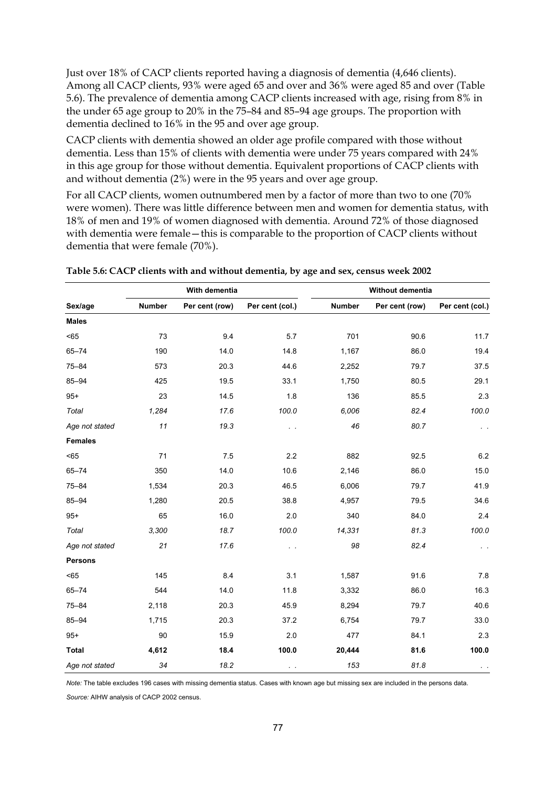Just over 18% of CACP clients reported having a diagnosis of dementia (4,646 clients). Among all CACP clients, 93% were aged 65 and over and 36% were aged 85 and over (Table 5.6). The prevalence of dementia among CACP clients increased with age, rising from 8% in the under 65 age group to 20% in the 75–84 and 85–94 age groups. The proportion with dementia declined to 16% in the 95 and over age group.

CACP clients with dementia showed an older age profile compared with those without dementia. Less than 15% of clients with dementia were under 75 years compared with 24% in this age group for those without dementia. Equivalent proportions of CACP clients with and without dementia (2%) were in the 95 years and over age group.

For all CACP clients, women outnumbered men by a factor of more than two to one (70% were women). There was little difference between men and women for dementia status, with 18% of men and 19% of women diagnosed with dementia. Around 72% of those diagnosed with dementia were female—this is comparable to the proportion of CACP clients without dementia that were female (70%).

|                |        | With dementia  |                 |               | Without dementia |                 |
|----------------|--------|----------------|-----------------|---------------|------------------|-----------------|
| Sex/age        | Number | Per cent (row) | Per cent (col.) | <b>Number</b> | Per cent (row)   | Per cent (col.) |
| <b>Males</b>   |        |                |                 |               |                  |                 |
| < 65           | 73     | 9.4            | 5.7             | 701           | 90.6             | 11.7            |
| $65 - 74$      | 190    | 14.0           | 14.8            | 1,167         | 86.0             | 19.4            |
| $75 - 84$      | 573    | 20.3           | 44.6            | 2,252         | 79.7             | 37.5            |
| $85 - 94$      | 425    | 19.5           | 33.1            | 1,750         | 80.5             | 29.1            |
| $95+$          | 23     | 14.5           | 1.8             | 136           | 85.5             | 2.3             |
| Total          | 1,284  | 17.6           | 100.0           | 6,006         | 82.4             | 100.0           |
| Age not stated | 11     | 19.3           | $\sim$ $\sim$   | 46            | 80.7             | $\sim$ $ \sim$  |
| <b>Females</b> |        |                |                 |               |                  |                 |
| < 65           | 71     | 7.5            | 2.2             | 882           | 92.5             | 6.2             |
| $65 - 74$      | 350    | 14.0           | 10.6            | 2,146         | 86.0             | 15.0            |
| $75 - 84$      | 1,534  | 20.3           | 46.5            | 6,006         | 79.7             | 41.9            |
| $85 - 94$      | 1,280  | 20.5           | 38.8            | 4,957         | 79.5             | 34.6            |
| $95+$          | 65     | 16.0           | 2.0             | 340           | 84.0             | 2.4             |
| Total          | 3,300  | 18.7           | 100.0           | 14,331        | 81.3             | 100.0           |
| Age not stated | 21     | 17.6           | $\sim$ $\sim$   | 98            | 82.4             |                 |
| <b>Persons</b> |        |                |                 |               |                  |                 |
| < 65           | 145    | 8.4            | 3.1             | 1,587         | 91.6             | 7.8             |
| $65 - 74$      | 544    | 14.0           | 11.8            | 3,332         | 86.0             | 16.3            |
| $75 - 84$      | 2,118  | 20.3           | 45.9            | 8,294         | 79.7             | 40.6            |
| $85 - 94$      | 1,715  | 20.3           | 37.2            | 6,754         | 79.7             | 33.0            |
| $95+$          | 90     | 15.9           | 2.0             | 477           | 84.1             | 2.3             |
| <b>Total</b>   | 4,612  | 18.4           | 100.0           | 20,444        | 81.6             | 100.0           |
| Age not stated | 34     | 18.2           | $\sim$ $\sim$   | 153           | 81.8             | $\sim$ $-$      |

|  | Table 5.6: CACP clients with and without dementia, by age and sex, census week 2002 |  |  |  |
|--|-------------------------------------------------------------------------------------|--|--|--|
|--|-------------------------------------------------------------------------------------|--|--|--|

*Note:* The table excludes 196 cases with missing dementia status. Cases with known age but missing sex are included in the persons data.

*Source:* AIHW analysis of CACP 2002 census.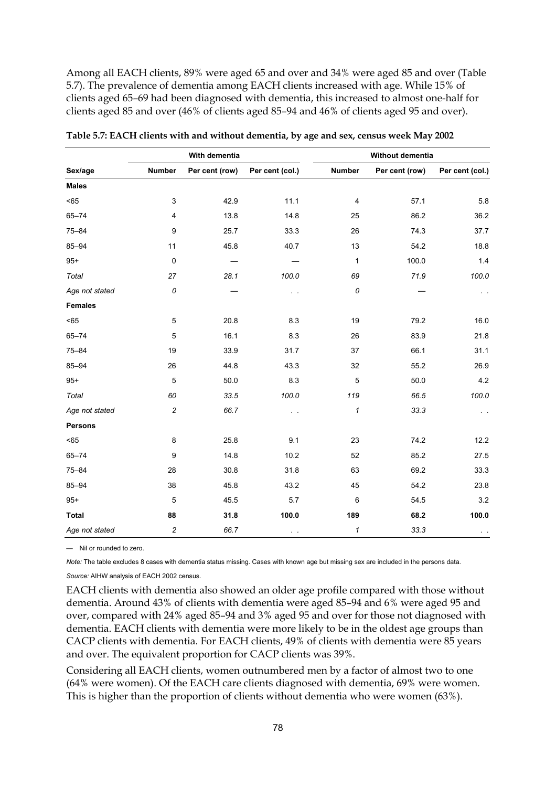Among all EACH clients, 89% were aged 65 and over and 34% were aged 85 and over (Table 5.7). The prevalence of dementia among EACH clients increased with age. While 15% of clients aged 65–69 had been diagnosed with dementia, this increased to almost one-half for clients aged 85 and over (46% of clients aged 85–94 and 46% of clients aged 95 and over).

|                |                  | With dementia  |                        |                | Without dementia |                       |
|----------------|------------------|----------------|------------------------|----------------|------------------|-----------------------|
| Sex/age        | <b>Number</b>    | Per cent (row) | Per cent (col.)        | <b>Number</b>  | Per cent (row)   | Per cent (col.)       |
| <b>Males</b>   |                  |                |                        |                |                  |                       |
| < 65           | 3                | 42.9           | 11.1                   | $\overline{4}$ | 57.1             | 5.8                   |
| $65 - 74$      | 4                | 13.8           | 14.8                   | 25             | 86.2             | 36.2                  |
| $75 - 84$      | 9                | 25.7           | 33.3                   | 26             | 74.3             | 37.7                  |
| 85-94          | 11               | 45.8           | 40.7                   | 13             | 54.2             | 18.8                  |
| $95+$          | 0                |                |                        | $\mathbf{1}$   | 100.0            | 1.4                   |
| Total          | 27               | 28.1           | 100.0                  | 69             | 71.9             | 100.0                 |
| Age not stated | 0                |                | $\sim$                 | 0              |                  |                       |
| <b>Females</b> |                  |                |                        |                |                  |                       |
| < 65           | 5                | 20.8           | 8.3                    | 19             | 79.2             | 16.0                  |
| $65 - 74$      | 5                | 16.1           | 8.3                    | 26             | 83.9             | 21.8                  |
| $75 - 84$      | 19               | 33.9           | 31.7                   | 37             | 66.1             | 31.1                  |
| $85 - 94$      | 26               | 44.8           | 43.3                   | 32             | 55.2             | 26.9                  |
| $95+$          | 5                | 50.0           | 8.3                    | 5              | 50.0             | 4.2                   |
| Total          | 60               | 33.5           | 100.0                  | 119            | 66.5             | 100.0                 |
| Age not stated | $\overline{c}$   | 66.7           | . .                    | $\mathbf{1}$   | 33.3             | $\epsilon$ .          |
| Persons        |                  |                |                        |                |                  |                       |
| < 65           | 8                | 25.8           | 9.1                    | 23             | 74.2             | 12.2                  |
| $65 - 74$      | 9                | 14.8           | 10.2                   | 52             | 85.2             | 27.5                  |
| $75 - 84$      | 28               | 30.8           | 31.8                   | 63             | 69.2             | 33.3                  |
| $85 - 94$      | 38               | 45.8           | 43.2                   | 45             | 54.2             | 23.8                  |
| $95+$          | 5                | 45.5           | 5.7                    | 6              | 54.5             | 3.2                   |
| <b>Total</b>   | 88               | 31.8           | 100.0                  | 189            | 68.2             | 100.0                 |
| Age not stated | $\boldsymbol{2}$ | 66.7           | $\epsilon \rightarrow$ | 1              | 33.3             | $\epsilon = \epsilon$ |

**Table 5.7: EACH clients with and without dementia, by age and sex, census week May 2002** 

— Nil or rounded to zero.

*Note:* The table excludes 8 cases with dementia status missing. Cases with known age but missing sex are included in the persons data.

*Source:* AIHW analysis of EACH 2002 census.

EACH clients with dementia also showed an older age profile compared with those without dementia. Around 43% of clients with dementia were aged 85–94 and 6% were aged 95 and over, compared with 24% aged 85–94 and 3% aged 95 and over for those not diagnosed with dementia. EACH clients with dementia were more likely to be in the oldest age groups than CACP clients with dementia. For EACH clients, 49% of clients with dementia were 85 years and over. The equivalent proportion for CACP clients was 39%.

Considering all EACH clients, women outnumbered men by a factor of almost two to one (64% were women). Of the EACH care clients diagnosed with dementia, 69% were women. This is higher than the proportion of clients without dementia who were women (63%).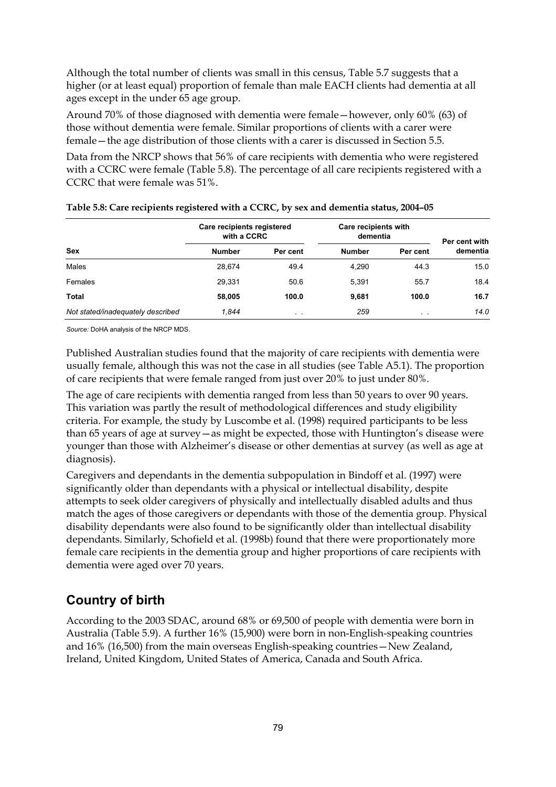Although the total number of clients was small in this census, Table 5.7 suggests that a higher (or at least equal) proportion of female than male EACH clients had dementia at all ages except in the under 65 age group.

Around 70% of those diagnosed with dementia were female—however, only 60% (63) of those without dementia were female. Similar proportions of clients with a carer were female—the age distribution of those clients with a carer is discussed in Section 5.5.

Data from the NRCP shows that 56% of care recipients with dementia who were registered with a CCRC were female (Table 5.8). The percentage of all care recipients registered with a CCRC that were female was 51%.

|                                   | Care recipients registered<br>with a CCRC |          | Care recipients with<br>dementia |                 | Per cent with |
|-----------------------------------|-------------------------------------------|----------|----------------------------------|-----------------|---------------|
| <b>Sex</b>                        | <b>Number</b>                             | Per cent | <b>Number</b>                    | Per cent        | dementia      |
| Males                             | 28,674                                    | 49.4     | 4,290                            | 44.3            | 15.0          |
| Females                           | 29,331                                    | 50.6     | 5,391                            | 55.7            | 18.4          |
| Total                             | 58,005                                    | 100.0    | 9.681                            | 100.0           | 16.7          |
| Not stated/inadequately described | 1.844                                     | $\sim$   | 259                              | $\cdot$ $\cdot$ | 14.0          |

#### **Table 5.8: Care recipients registered with a CCRC, by sex and dementia status, 2004–05**

*Source:* DoHA analysis of the NRCP MDS.

Published Australian studies found that the majority of care recipients with dementia were usually female, although this was not the case in all studies (see Table A5.1). The proportion of care recipients that were female ranged from just over 20% to just under 80%.

The age of care recipients with dementia ranged from less than 50 years to over 90 years. This variation was partly the result of methodological differences and study eligibility criteria. For example, the study by Luscombe et al. (1998) required participants to be less than 65 years of age at survey—as might be expected, those with Huntington's disease were younger than those with Alzheimer's disease or other dementias at survey (as well as age at diagnosis).

Caregivers and dependants in the dementia subpopulation in Bindoff et al. (1997) were significantly older than dependants with a physical or intellectual disability, despite attempts to seek older caregivers of physically and intellectually disabled adults and thus match the ages of those caregivers or dependants with those of the dementia group. Physical disability dependants were also found to be significantly older than intellectual disability dependants. Similarly, Schofield et al. (1998b) found that there were proportionately more female care recipients in the dementia group and higher proportions of care recipients with dementia were aged over 70 years.

### **Country of birth**

According to the 2003 SDAC, around 68% or 69,500 of people with dementia were born in Australia (Table 5.9). A further 16% (15,900) were born in non-English-speaking countries and 16% (16,500) from the main overseas English-speaking countries—New Zealand, Ireland, United Kingdom, United States of America, Canada and South Africa.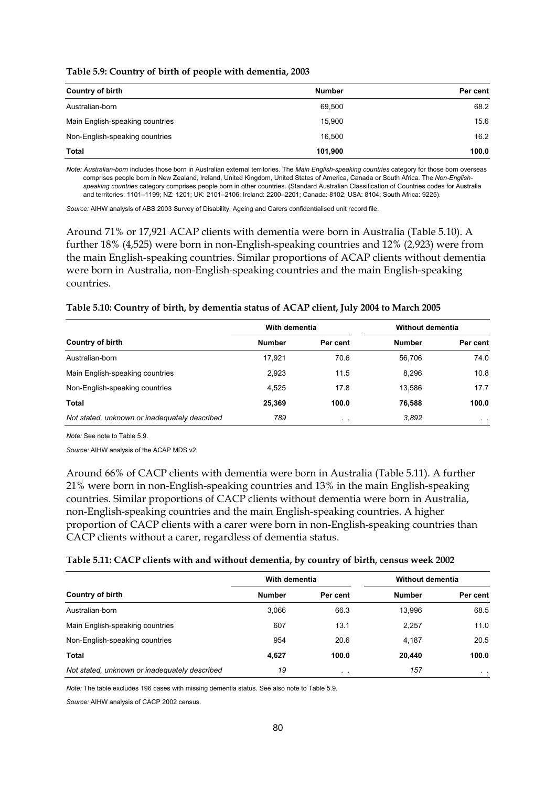**Table 5.9: Country of birth of people with dementia, 2003** 

| <b>Country of birth</b>         | <b>Number</b> | Per cent |
|---------------------------------|---------------|----------|
| Australian-born                 | 69,500        | 68.2     |
| Main English-speaking countries | 15.900        | 15.6     |
| Non-English-speaking countries  | 16.500        | 16.2     |
| Total                           | 101,900       | 100.0    |

*Note: Australian-born* includes those born in Australian external territories. The *Main English-speaking countries* category for those born overseas comprises people born in New Zealand, Ireland, United Kingdom, United States of America, Canada or South Africa. The *Non-Englishspeaking countries* category comprises people born in other countries. (Standard Australian Classification of Countries codes for Australia and territories: 1101–1199; NZ: 1201; UK: 2101–2106; Ireland: 2200–2201; Canada: 8102; USA: 8104; South Africa: 9225).

*Source:* AIHW analysis of ABS 2003 Survey of Disability, Ageing and Carers confidentialised unit record file.

Around 71% or 17,921 ACAP clients with dementia were born in Australia (Table 5.10). A further 18% (4,525) were born in non-English-speaking countries and 12% (2,923) were from the main English-speaking countries. Similar proportions of ACAP clients without dementia were born in Australia, non-English-speaking countries and the main English-speaking countries.

#### **Table 5.10: Country of birth, by dementia status of ACAP client, July 2004 to March 2005**

|                                               | With dementia |                 | Without dementia |          |
|-----------------------------------------------|---------------|-----------------|------------------|----------|
| <b>Country of birth</b>                       | <b>Number</b> | Per cent        | <b>Number</b>    | Per cent |
| Australian-born                               | 17.921        | 70.6            | 56.706           | 74.0     |
| Main English-speaking countries               | 2,923         | 11.5            | 8.296            | 10.8     |
| Non-English-speaking countries                | 4,525         | 17.8            | 13,586           | 17.7     |
| Total                                         | 25,369        | 100.0           | 76.588           | 100.0    |
| Not stated, unknown or inadequately described | 789           | $\cdot$ $\cdot$ | 3,892            | $\sim$   |

*Note:* See note to Table 5.9.

*Source:* AIHW analysis of the ACAP MDS v2.

Around 66% of CACP clients with dementia were born in Australia (Table 5.11). A further 21% were born in non-English-speaking countries and 13% in the main English-speaking countries. Similar proportions of CACP clients without dementia were born in Australia, non-English-speaking countries and the main English-speaking countries. A higher proportion of CACP clients with a carer were born in non-English-speaking countries than CACP clients without a carer, regardless of dementia status.

#### **Table 5.11: CACP clients with and without dementia, by country of birth, census week 2002**

|                                               | With dementia |           | Without dementia |                |
|-----------------------------------------------|---------------|-----------|------------------|----------------|
| <b>Country of birth</b>                       | <b>Number</b> | Per cent  | <b>Number</b>    | Per cent       |
| Australian-born                               | 3,066         | 66.3      | 13.996           | 68.5           |
| Main English-speaking countries               | 607           | 13.1      | 2,257            | 11.0           |
| Non-English-speaking countries                | 954           | 20.6      | 4,187            | 20.5           |
| Total                                         | 4,627         | 100.0     | 20.440           | 100.0          |
| Not stated, unknown or inadequately described | 19            | $\cdot$ . | 157              | $\sim$ $ \sim$ |

*Note:* The table excludes 196 cases with missing dementia status. See also note to Table 5.9.

*Source:* AIHW analysis of CACP 2002 census.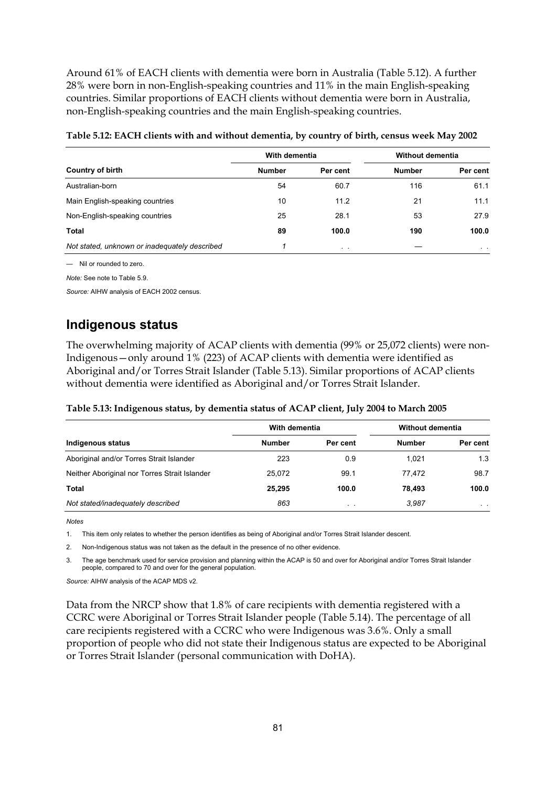Around 61% of EACH clients with dementia were born in Australia (Table 5.12). A further 28% were born in non-English-speaking countries and 11% in the main English-speaking countries. Similar proportions of EACH clients without dementia were born in Australia, non-English-speaking countries and the main English-speaking countries.

| Country of birth                              | With dementia |                | Without dementia |          |
|-----------------------------------------------|---------------|----------------|------------------|----------|
|                                               | <b>Number</b> | Per cent       | <b>Number</b>    | Per cent |
| Australian-born                               | 54            | 60.7           | 116              | 61.1     |
| Main English-speaking countries               | 10            | 11.2           | 21               | 11.1     |
| Non-English-speaking countries                | 25            | 28.1           | 53               | 27.9     |
| Total                                         | 89            | 100.0          | 190              | 100.0    |
| Not stated, unknown or inadequately described |               | $\sim$ $ \sim$ |                  | $\sim$   |

| Table 5.12: EACH clients with and without dementia, by country of birth, census week May 2002 |  |
|-----------------------------------------------------------------------------------------------|--|
|                                                                                               |  |

— Nil or rounded to zero.

*Note:* See note to Table 5.9.

*Source:* AIHW analysis of EACH 2002 census.

### **Indigenous status**

The overwhelming majority of ACAP clients with dementia (99% or 25,072 clients) were non-Indigenous—only around 1% (223) of ACAP clients with dementia were identified as Aboriginal and/or Torres Strait Islander (Table 5.13). Similar proportions of ACAP clients without dementia were identified as Aboriginal and/or Torres Strait Islander.

### **Table 5.13: Indigenous status, by dementia status of ACAP client, July 2004 to March 2005**

| Indigenous status                             | With dementia |           | <b>Without dementia</b> |                |  |
|-----------------------------------------------|---------------|-----------|-------------------------|----------------|--|
|                                               | <b>Number</b> | Per cent  | <b>Number</b>           | Per cent       |  |
| Aboriginal and/or Torres Strait Islander      | 223           | 0.9       | 1.021                   | 1.3            |  |
| Neither Aboriginal nor Torres Strait Islander | 25.072        | 99.1      | 77.472                  | 98.7           |  |
| Total                                         | 25.295        | 100.0     | 78.493                  | 100.0          |  |
| Not stated/inadequately described             | 863           | $\cdot$ . | 3.987                   | $\sim$ $ \sim$ |  |

*Notes* 

1. This item only relates to whether the person identifies as being of Aboriginal and/or Torres Strait Islander descent.

2. Non-Indigenous status was not taken as the default in the presence of no other evidence.

The age benchmark used for service provision and planning within the ACAP is 50 and over for Aboriginal and/or Torres Strait Islander people, compared to 70 and over for the general population.

*Source:* AIHW analysis of the ACAP MDS v2.

Data from the NRCP show that 1.8% of care recipients with dementia registered with a CCRC were Aboriginal or Torres Strait Islander people (Table 5.14). The percentage of all care recipients registered with a CCRC who were Indigenous was 3.6%. Only a small proportion of people who did not state their Indigenous status are expected to be Aboriginal or Torres Strait Islander (personal communication with DoHA).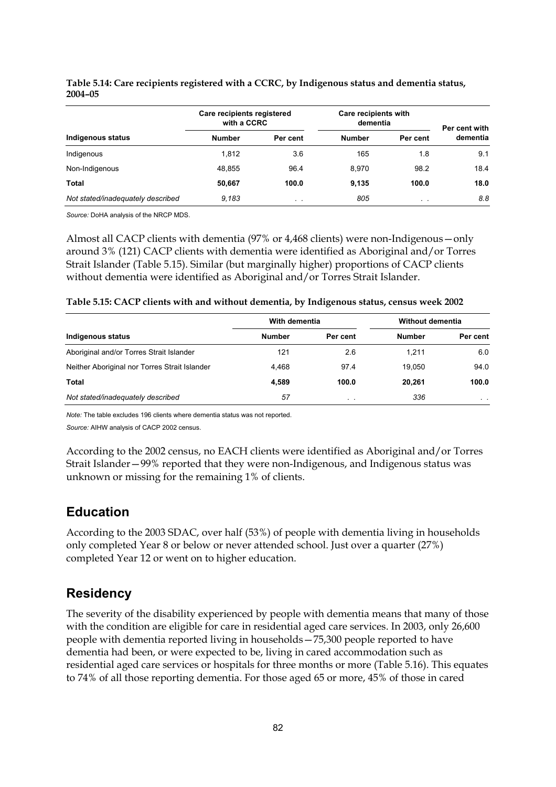|                                   | Care recipients registered<br>with a CCRC |                 | Care recipients with<br>dementia |          | Per cent with |
|-----------------------------------|-------------------------------------------|-----------------|----------------------------------|----------|---------------|
| Indigenous status                 | <b>Number</b>                             | Per cent        | <b>Number</b>                    | Per cent | dementia      |
| Indigenous                        | 1,812                                     | 3.6             | 165                              | 1.8      | 9.1           |
| Non-Indigenous                    | 48.855                                    | 96.4            | 8.970                            | 98.2     | 18.4          |
| Total                             | 50,667                                    | 100.0           | 9,135                            | 100.0    | 18.0          |
| Not stated/inadequately described | 9.183                                     | $\cdot$ $\cdot$ | 805                              | $\sim$   | 8.8           |

#### **Table 5.14: Care recipients registered with a CCRC, by Indigenous status and dementia status, 2004–05**

*Source:* DoHA analysis of the NRCP MDS.

Almost all CACP clients with dementia (97% or 4,468 clients) were non-Indigenous—only around 3% (121) CACP clients with dementia were identified as Aboriginal and/or Torres Strait Islander (Table 5.15). Similar (but marginally higher) proportions of CACP clients without dementia were identified as Aboriginal and/or Torres Strait Islander.

| Table 5.15: CACP clients with and without dementia, by Indigenous status, census week 2002 |  |
|--------------------------------------------------------------------------------------------|--|
|--------------------------------------------------------------------------------------------|--|

|                                               | With dementia |                 | Without dementia |                |  |
|-----------------------------------------------|---------------|-----------------|------------------|----------------|--|
| Indigenous status                             | <b>Number</b> | Per cent        | <b>Number</b>    | Per cent       |  |
| Aboriginal and/or Torres Strait Islander      | 121           | 2.6             | 1.211            | 6.0            |  |
| Neither Aboriginal nor Torres Strait Islander | 4.468         | 97.4            | 19.050           | 94.0           |  |
| Total                                         | 4,589         | 100.0           | 20.261           | 100.0          |  |
| Not stated/inadequately described             | 57            | $\cdot$ $\cdot$ | 336              | $\sim$ $ \sim$ |  |

*Note:* The table excludes 196 clients where dementia status was not reported.

*Source:* AIHW analysis of CACP 2002 census.

According to the 2002 census, no EACH clients were identified as Aboriginal and/or Torres Strait Islander—99% reported that they were non-Indigenous, and Indigenous status was unknown or missing for the remaining 1% of clients.

### **Education**

According to the 2003 SDAC, over half (53%) of people with dementia living in households only completed Year 8 or below or never attended school. Just over a quarter (27%) completed Year 12 or went on to higher education.

### **Residency**

The severity of the disability experienced by people with dementia means that many of those with the condition are eligible for care in residential aged care services. In 2003, only 26,600 people with dementia reported living in households—75,300 people reported to have dementia had been, or were expected to be, living in cared accommodation such as residential aged care services or hospitals for three months or more (Table 5.16). This equates to 74% of all those reporting dementia. For those aged 65 or more, 45% of those in cared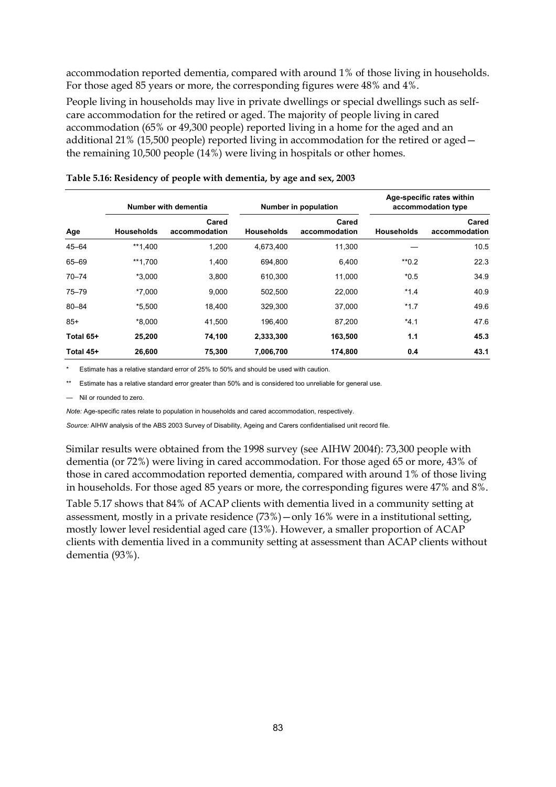accommodation reported dementia, compared with around 1% of those living in households. For those aged 85 years or more, the corresponding figures were 48% and 4%.

People living in households may live in private dwellings or special dwellings such as selfcare accommodation for the retired or aged. The majority of people living in cared accommodation (65% or 49,300 people) reported living in a home for the aged and an additional 21% (15,500 people) reported living in accommodation for the retired or aged the remaining 10,500 people (14%) were living in hospitals or other homes.

|           | Number with dementia |                        | Number in population |                        | Age-specific rates within<br>accommodation type |                        |
|-----------|----------------------|------------------------|----------------------|------------------------|-------------------------------------------------|------------------------|
| Age       | <b>Households</b>    | Cared<br>accommodation | <b>Households</b>    | Cared<br>accommodation | <b>Households</b>                               | Cared<br>accommodation |
| $45 - 64$ | **1,400              | 1,200                  | 4,673,400            | 11,300                 |                                                 | 10.5                   |
| 65-69     | **1,700              | 1,400                  | 694,800              | 6,400                  | $*$ <sup>0.2</sup>                              | 22.3                   |
| $70 - 74$ | $*3,000$             | 3,800                  | 610,300              | 11.000                 | $*0.5$                                          | 34.9                   |
| $75 - 79$ | *7.000               | 9.000                  | 502.500              | 22,000                 | $*1.4$                                          | 40.9                   |
| $80 - 84$ | $*5,500$             | 18,400                 | 329,300              | 37,000                 | $*1.7$                                          | 49.6                   |
| $85+$     | *8.000               | 41,500                 | 196.400              | 87,200                 | $*4.1$                                          | 47.6                   |
| Total 65+ | 25,200               | 74,100                 | 2,333,300            | 163,500                | 1.1                                             | 45.3                   |
| Total 45+ | 26,600               | 75,300                 | 7,006,700            | 174,800                | 0.4                                             | 43.1                   |

| Table 5.16: Residency of people with dementia, by age and sex, 2003 |  |  |  |
|---------------------------------------------------------------------|--|--|--|
|                                                                     |  |  |  |

Estimate has a relative standard error of 25% to 50% and should be used with caution.

Estimate has a relative standard error greater than 50% and is considered too unreliable for general use.

Nil or rounded to zero.

*Note:* Age-specific rates relate to population in households and cared accommodation, respectively.

*Source:* AIHW analysis of the ABS 2003 Survey of Disability, Ageing and Carers confidentialised unit record file.

Similar results were obtained from the 1998 survey (see AIHW 2004f): 73,300 people with dementia (or 72%) were living in cared accommodation. For those aged 65 or more, 43% of those in cared accommodation reported dementia, compared with around 1% of those living in households. For those aged 85 years or more, the corresponding figures were 47% and 8%.

Table 5.17 shows that 84% of ACAP clients with dementia lived in a community setting at assessment, mostly in a private residence (73%)—only 16% were in a institutional setting, mostly lower level residential aged care (13%). However, a smaller proportion of ACAP clients with dementia lived in a community setting at assessment than ACAP clients without dementia (93%).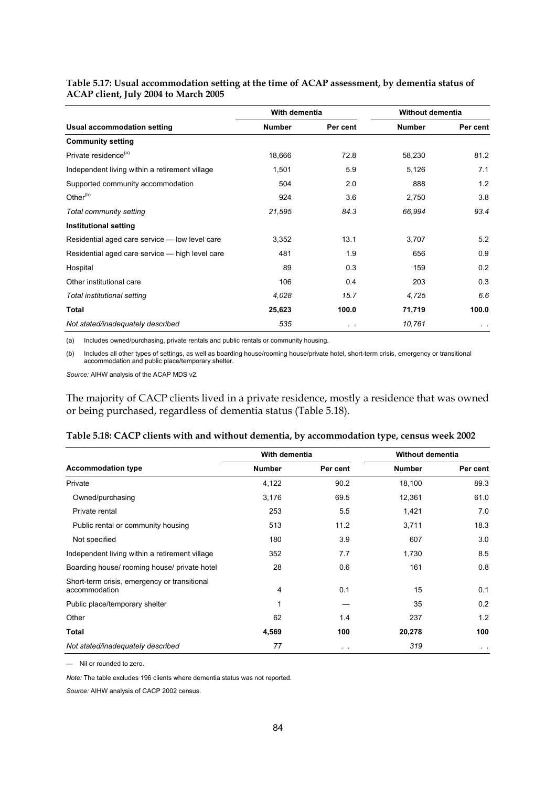|                                                 | With dementia |          | Without dementia |           |
|-------------------------------------------------|---------------|----------|------------------|-----------|
| Usual accommodation setting                     | <b>Number</b> | Per cent | <b>Number</b>    | Per cent  |
| <b>Community setting</b>                        |               |          |                  |           |
| Private residence <sup>(a)</sup>                | 18,666        | 72.8     | 58,230           | 81.2      |
| Independent living within a retirement village  | 1,501         | 5.9      | 5,126            | 7.1       |
| Supported community accommodation               | 504           | 2.0      | 888              | 1.2       |
| Other $(b)$                                     | 924           | 3.6      | 2,750            | 3.8       |
| Total community setting                         | 21,595        | 84.3     | 66,994           | 93.4      |
| <b>Institutional setting</b>                    |               |          |                  |           |
| Residential aged care service - low level care  | 3,352         | 13.1     | 3,707            | 5.2       |
| Residential aged care service - high level care | 481           | 1.9      | 656              | 0.9       |
| Hospital                                        | 89            | 0.3      | 159              | 0.2       |
| Other institutional care                        | 106           | 0.4      | 203              | 0.3       |
| Total institutional setting                     | 4,028         | 15.7     | 4,725            | 6.6       |
| <b>Total</b>                                    | 25,623        | 100.0    | 71,719           | 100.0     |
| Not stated/inadequately described               | 535           | $\sim$   | 10,761           | $\cdot$ . |

#### **Table 5.17: Usual accommodation setting at the time of ACAP assessment, by dementia status of ACAP client, July 2004 to March 2005**

(a) Includes owned/purchasing, private rentals and public rentals or community housing.

(b) Includes all other types of settings, as well as boarding house/rooming house/private hotel, short-term crisis, emergency or transitional accommodation and public place/temporary shelter.

*Source:* AIHW analysis of the ACAP MDS v2.

The majority of CACP clients lived in a private residence, mostly a residence that was owned or being purchased, regardless of dementia status (Table 5.18).

|                                                               | With dementia |          | <b>Without dementia</b> |          |
|---------------------------------------------------------------|---------------|----------|-------------------------|----------|
| <b>Accommodation type</b>                                     | <b>Number</b> | Per cent | <b>Number</b>           | Per cent |
| Private                                                       | 4,122         | 90.2     | 18,100                  | 89.3     |
| Owned/purchasing                                              | 3,176         | 69.5     | 12,361                  | 61.0     |
| Private rental                                                | 253           | 5.5      | 1,421                   | 7.0      |
| Public rental or community housing                            | 513           | 11.2     | 3,711                   | 18.3     |
| Not specified                                                 | 180           | 3.9      | 607                     | 3.0      |
| Independent living within a retirement village                | 352           | 7.7      | 1,730                   | 8.5      |
| Boarding house/ rooming house/ private hotel                  | 28            | 0.6      | 161                     | 0.8      |
| Short-term crisis, emergency or transitional<br>accommodation | 4             | 0.1      | 15                      | 0.1      |
| Public place/temporary shelter                                | 1             |          | 35                      | 0.2      |
| Other                                                         | 62            | 1.4      | 237                     | 1.2      |
| Total                                                         | 4,569         | 100      | 20,278                  | 100      |

— Nil or rounded to zero.

*Note:* The table excludes 196 clients where dementia status was not reported.

*Source:* AIHW analysis of CACP 2002 census.

*Not stated/inadequately described 77 . . 319 . .*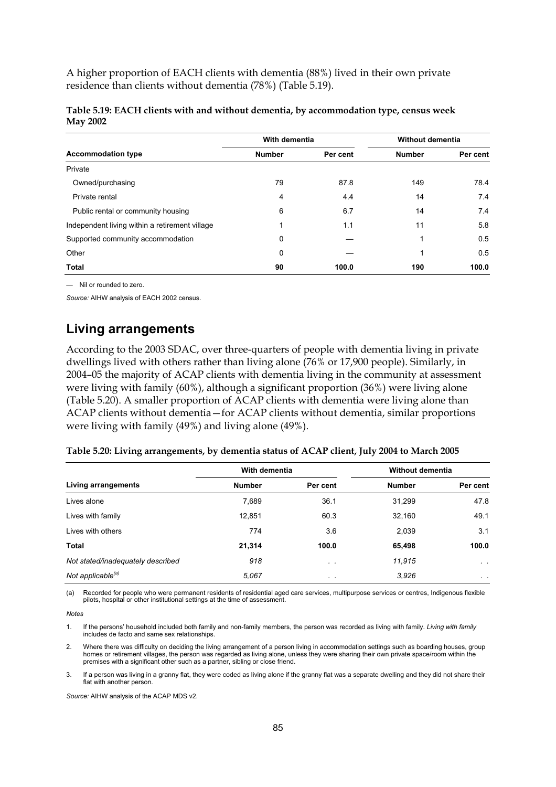A higher proportion of EACH clients with dementia (88%) lived in their own private residence than clients without dementia (78%) (Table 5.19).

|                                                | With dementia |          | <b>Without dementia</b> |          |
|------------------------------------------------|---------------|----------|-------------------------|----------|
| <b>Accommodation type</b>                      | <b>Number</b> | Per cent | <b>Number</b>           | Per cent |
| Private                                        |               |          |                         |          |
| Owned/purchasing                               | 79            | 87.8     | 149                     | 78.4     |
| Private rental                                 | 4             | 4.4      | 14                      | 7.4      |
| Public rental or community housing             | 6             | 6.7      | 14                      | 7.4      |
| Independent living within a retirement village |               | 1.1      | 11                      | 5.8      |
| Supported community accommodation              | 0             |          | 1                       | 0.5      |
| Other                                          | 0             |          |                         | 0.5      |
| <b>Total</b>                                   | 90            | 100.0    | 190                     | 100.0    |

| Table 5.19: EACH clients with and without dementia, by accommodation type, census week |  |
|----------------------------------------------------------------------------------------|--|
| <b>May 2002</b>                                                                        |  |

— Nil or rounded to zero.

*Source:* AIHW analysis of EACH 2002 census.

### **Living arrangements**

According to the 2003 SDAC, over three-quarters of people with dementia living in private dwellings lived with others rather than living alone (76% or 17,900 people). Similarly, in 2004–05 the majority of ACAP clients with dementia living in the community at assessment were living with family (60%), although a significant proportion (36%) were living alone (Table 5.20). A smaller proportion of ACAP clients with dementia were living alone than ACAP clients without dementia—for ACAP clients without dementia, similar proportions were living with family (49%) and living alone (49%).

| Table 5.20: Living arrangements, by dementia status of ACAP client, July 2004 to March 2005 |  |
|---------------------------------------------------------------------------------------------|--|
|                                                                                             |  |

|                                   | With dementia |          | Without dementia |                 |
|-----------------------------------|---------------|----------|------------------|-----------------|
| Living arrangements               | <b>Number</b> | Per cent | <b>Number</b>    | Per cent        |
| Lives alone                       | 7,689         | 36.1     | 31,299           | 47.8            |
| Lives with family                 | 12,851        | 60.3     | 32,160           | 49.1            |
| Lives with others                 | 774           | 3.6      | 2,039            | 3.1             |
| Total                             | 21,314        | 100.0    | 65,498           | 100.0           |
| Not stated/inadequately described | 918           | $\sim$   | 11,915           | $\alpha = 0.01$ |
| Not applicable <sup>(a)</sup>     | 5,067         | $\sim$   | 3.926            | $\sim$ $\sim$   |

(a) Recorded for people who were permanent residents of residential aged care services, multipurpose services or centres, Indigenous flexible pilots, hospital or other institutional settings at the time of assessment.

*Notes* 

1. If the persons' household included both family and non-family members, the person was recorded as living with family. *Living with family* includes de facto and same sex relationships.

2. Where there was difficulty on deciding the living arrangement of a person living in accommodation settings such as boarding houses, group homes or retirement villages, the person was regarded as living alone, unless they were sharing their own private space/room within the premises with a significant other such as a partner, sibling or close friend.

3. If a person was living in a granny flat, they were coded as living alone if the granny flat was a separate dwelling and they did not share their flat with another person.

*Source:* AIHW analysis of the ACAP MDS v2.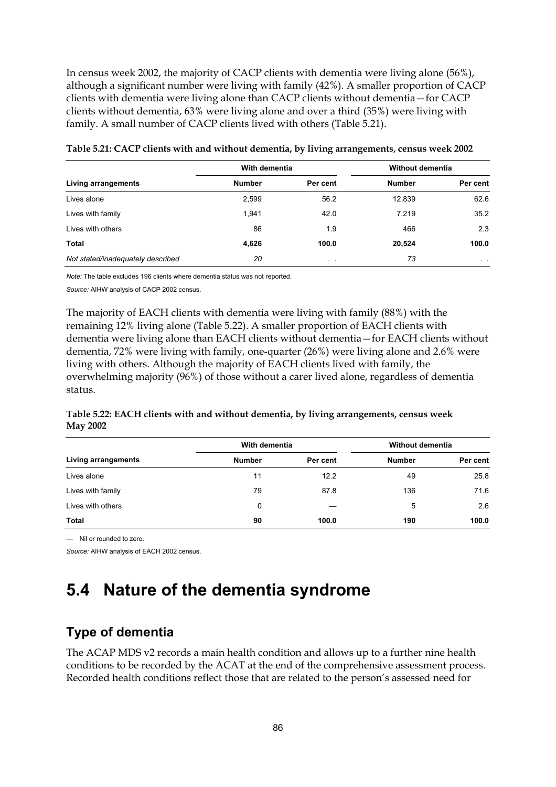In census week 2002, the majority of CACP clients with dementia were living alone (56%), although a significant number were living with family (42%). A smaller proportion of CACP clients with dementia were living alone than CACP clients without dementia—for CACP clients without dementia, 63% were living alone and over a third (35%) were living with family. A small number of CACP clients lived with others (Table 5.21).

|                                   | With dementia |                 | Without dementia |                |
|-----------------------------------|---------------|-----------------|------------------|----------------|
| Living arrangements               | <b>Number</b> | Per cent        | <b>Number</b>    | Per cent       |
| Lives alone                       | 2,599         | 56.2            | 12,839           | 62.6           |
| Lives with family                 | 1.941         | 42.0            | 7.219            | 35.2           |
| Lives with others                 | 86            | 1.9             | 466              | 2.3            |
| Total                             | 4,626         | 100.0           | 20,524           | 100.0          |
| Not stated/inadequately described | 20            | $\cdot$ $\cdot$ | 73               | $\sim$ $ \sim$ |

| Table 5.21: CACP clients with and without dementia, by living arrangements, census week 2002 |  |  |  |  |  |  |  |
|----------------------------------------------------------------------------------------------|--|--|--|--|--|--|--|
|----------------------------------------------------------------------------------------------|--|--|--|--|--|--|--|

*Note:* The table excludes 196 clients where dementia status was not reported.

*Source:* AIHW analysis of CACP 2002 census.

The majority of EACH clients with dementia were living with family (88%) with the remaining 12% living alone (Table 5.22). A smaller proportion of EACH clients with dementia were living alone than EACH clients without dementia—for EACH clients without dementia, 72% were living with family, one-quarter (26%) were living alone and 2.6% were living with others. Although the majority of EACH clients lived with family, the overwhelming majority (96%) of those without a carer lived alone, regardless of dementia status.

### **Table 5.22: EACH clients with and without dementia, by living arrangements, census week May 2002**

|                     | With dementia |          |               | Without dementia |
|---------------------|---------------|----------|---------------|------------------|
| Living arrangements | <b>Number</b> | Per cent | <b>Number</b> | Per cent         |
| Lives alone         | 11            | 12.2     | 49            | 25.8             |
| Lives with family   | 79            | 87.8     | 136           | 71.6             |
| Lives with others   | 0             |          | 5             | 2.6              |
| Total               | 90            | 100.0    | 190           | 100.0            |

— Nil or rounded to zero.

*Source:* AIHW analysis of EACH 2002 census.

## **5.4 Nature of the dementia syndrome**

### **Type of dementia**

The ACAP MDS v2 records a main health condition and allows up to a further nine health conditions to be recorded by the ACAT at the end of the comprehensive assessment process. Recorded health conditions reflect those that are related to the person's assessed need for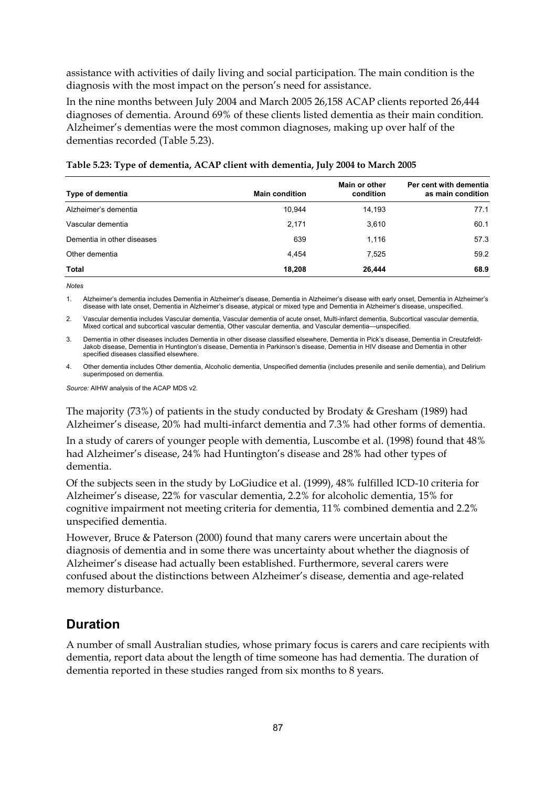assistance with activities of daily living and social participation. The main condition is the diagnosis with the most impact on the person's need for assistance.

In the nine months between July 2004 and March 2005 26,158 ACAP clients reported 26,444 diagnoses of dementia. Around 69% of these clients listed dementia as their main condition. Alzheimer's dementias were the most common diagnoses, making up over half of the dementias recorded (Table 5.23).

| Type of dementia           | <b>Main condition</b> | Main or other<br>condition | Per cent with dementia<br>as main condition |
|----------------------------|-----------------------|----------------------------|---------------------------------------------|
| Alzheimer's dementia       | 10.944                | 14.193                     | 77.1                                        |
| Vascular dementia          | 2,171                 | 3,610                      | 60.1                                        |
| Dementia in other diseases | 639                   | 1.116                      | 57.3                                        |
| Other dementia             | 4.454                 | 7,525                      | 59.2                                        |
| Total                      | 18,208                | 26,444                     | 68.9                                        |

| Table 5.23: Type of dementia, ACAP client with dementia, July 2004 to March 2005 |  |
|----------------------------------------------------------------------------------|--|
|----------------------------------------------------------------------------------|--|

*Notes* 

1. Alzheimer's dementia includes Dementia in Alzheimer's disease, Dementia in Alzheimer's disease with early onset, Dementia in Alzheimer's disease with late onset, Dementia in Alzheimer's disease, atypical or mixed type and Dementia in Alzheimer's disease, unspecified.

2. Vascular dementia includes Vascular dementia, Vascular dementia of acute onset, Multi-infarct dementia, Subcortical vascular dementia, Mixed cortical and subcortical vascular dementia, Other vascular dementia, and Vascular dementia—unspecified.

3. Dementia in other diseases includes Dementia in other disease classified elsewhere, Dementia in Pick's disease, Dementia in Creutzfeldt-Jakob disease, Dementia in Huntington's disease, Dementia in Parkinson's disease, Dementia in HIV disease and Dementia in other specified diseases classified elsewhere.

Other dementia includes Other dementia, Alcoholic dementia, Unspecified dementia (includes presenile and senile dementia), and Delirium superimposed on dementia.

*Source:* AIHW analysis of the ACAP MDS v2.

The majority (73%) of patients in the study conducted by Brodaty & Gresham (1989) had Alzheimer's disease, 20% had multi-infarct dementia and 7.3% had other forms of dementia.

In a study of carers of younger people with dementia, Luscombe et al. (1998) found that 48% had Alzheimer's disease, 24% had Huntington's disease and 28% had other types of dementia.

Of the subjects seen in the study by LoGiudice et al. (1999), 48% fulfilled ICD-10 criteria for Alzheimer's disease, 22% for vascular dementia, 2.2% for alcoholic dementia, 15% for cognitive impairment not meeting criteria for dementia, 11% combined dementia and 2.2% unspecified dementia.

However, Bruce & Paterson (2000) found that many carers were uncertain about the diagnosis of dementia and in some there was uncertainty about whether the diagnosis of Alzheimer's disease had actually been established. Furthermore, several carers were confused about the distinctions between Alzheimer's disease, dementia and age-related memory disturbance.

### **Duration**

A number of small Australian studies, whose primary focus is carers and care recipients with dementia, report data about the length of time someone has had dementia. The duration of dementia reported in these studies ranged from six months to 8 years.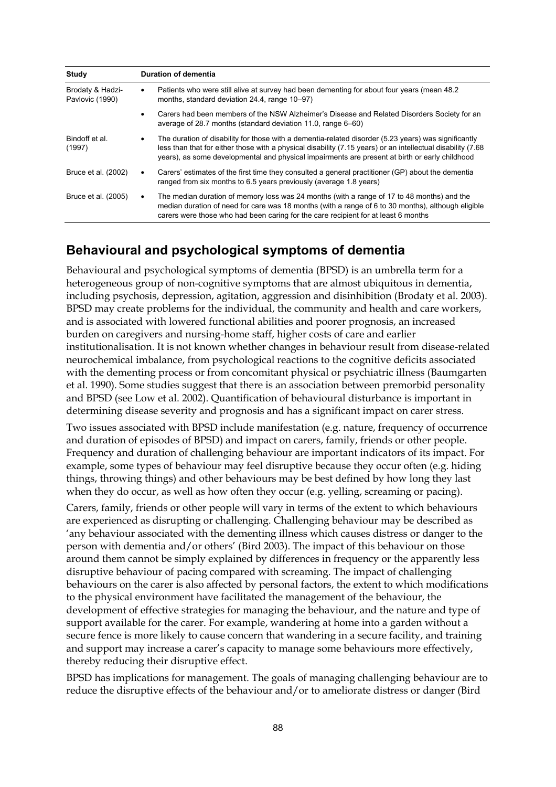| Study                               | <b>Duration of dementia</b>                                                                                                                                                                                                                                                                                                |
|-------------------------------------|----------------------------------------------------------------------------------------------------------------------------------------------------------------------------------------------------------------------------------------------------------------------------------------------------------------------------|
| Brodaty & Hadzi-<br>Pavlovic (1990) | Patients who were still alive at survey had been dementing for about four years (mean 48.2)<br>months, standard deviation 24.4, range 10–97)                                                                                                                                                                               |
|                                     | Carers had been members of the NSW Alzheimer's Disease and Related Disorders Society for an<br>average of 28.7 months (standard deviation 11.0, range 6–60)                                                                                                                                                                |
| Bindoff et al.<br>(1997)            | The duration of disability for those with a dementia-related disorder (5.23 years) was significantly<br>٠<br>less than that for either those with a physical disability (7.15 years) or an intellectual disability (7.68<br>years), as some developmental and physical impairments are present at birth or early childhood |
| Bruce et al. (2002)                 | Carers' estimates of the first time they consulted a general practitioner (GP) about the dementia<br>٠<br>ranged from six months to 6.5 years previously (average 1.8 years)                                                                                                                                               |
| Bruce et al. (2005)                 | The median duration of memory loss was 24 months (with a range of 17 to 48 months) and the<br>median duration of need for care was 18 months (with a range of 6 to 30 months), although eligible<br>carers were those who had been caring for the care recipient for at least 6 months                                     |

### **Behavioural and psychological symptoms of dementia**

Behavioural and psychological symptoms of dementia (BPSD) is an umbrella term for a heterogeneous group of non-cognitive symptoms that are almost ubiquitous in dementia, including psychosis, depression, agitation, aggression and disinhibition (Brodaty et al. 2003). BPSD may create problems for the individual, the community and health and care workers, and is associated with lowered functional abilities and poorer prognosis, an increased burden on caregivers and nursing-home staff, higher costs of care and earlier institutionalisation. It is not known whether changes in behaviour result from disease-related neurochemical imbalance, from psychological reactions to the cognitive deficits associated with the dementing process or from concomitant physical or psychiatric illness (Baumgarten et al. 1990). Some studies suggest that there is an association between premorbid personality and BPSD (see Low et al. 2002). Quantification of behavioural disturbance is important in determining disease severity and prognosis and has a significant impact on carer stress.

Two issues associated with BPSD include manifestation (e.g. nature, frequency of occurrence and duration of episodes of BPSD) and impact on carers, family, friends or other people. Frequency and duration of challenging behaviour are important indicators of its impact. For example, some types of behaviour may feel disruptive because they occur often (e.g. hiding things, throwing things) and other behaviours may be best defined by how long they last when they do occur, as well as how often they occur (e.g. yelling, screaming or pacing).

Carers, family, friends or other people will vary in terms of the extent to which behaviours are experienced as disrupting or challenging. Challenging behaviour may be described as 'any behaviour associated with the dementing illness which causes distress or danger to the person with dementia and/or others' (Bird 2003). The impact of this behaviour on those around them cannot be simply explained by differences in frequency or the apparently less disruptive behaviour of pacing compared with screaming. The impact of challenging behaviours on the carer is also affected by personal factors, the extent to which modifications to the physical environment have facilitated the management of the behaviour, the development of effective strategies for managing the behaviour, and the nature and type of support available for the carer. For example, wandering at home into a garden without a secure fence is more likely to cause concern that wandering in a secure facility, and training and support may increase a carer's capacity to manage some behaviours more effectively, thereby reducing their disruptive effect.

BPSD has implications for management. The goals of managing challenging behaviour are to reduce the disruptive effects of the behaviour and/or to ameliorate distress or danger (Bird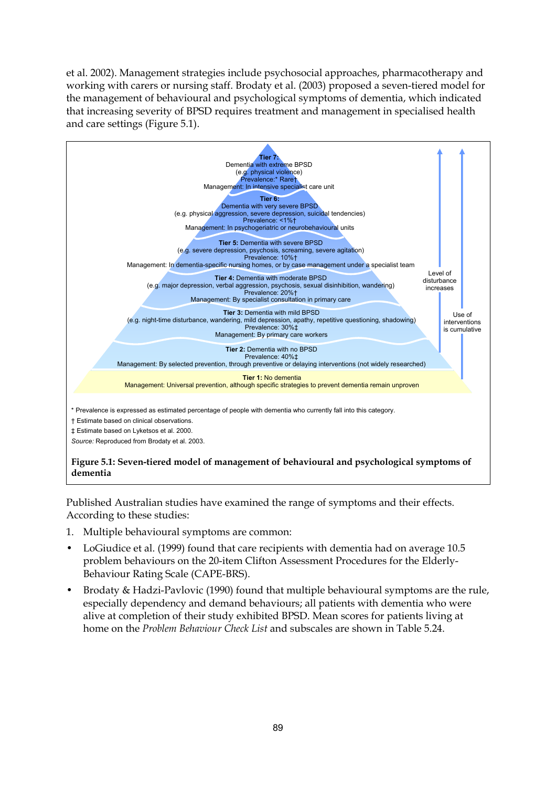et al. 2002). Management strategies include psychosocial approaches, pharmacotherapy and working with carers or nursing staff. Brodaty et al. (2003) proposed a seven-tiered model for the management of behavioural and psychological symptoms of dementia, which indicated that increasing severity of BPSD requires treatment and management in specialised health and care settings (Figure 5.1).



Published Australian studies have examined the range of symptoms and their effects. According to these studies:

- 1. Multiple behavioural symptoms are common:
- LoGiudice et al. (1999) found that care recipients with dementia had on average 10.5 problem behaviours on the 20-item Clifton Assessment Procedures for the Elderly-Behaviour Rating Scale (CAPE-BRS).
- Brodaty & Hadzi-Pavlovic (1990) found that multiple behavioural symptoms are the rule, especially dependency and demand behaviours; all patients with dementia who were alive at completion of their study exhibited BPSD. Mean scores for patients living at home on the *Problem Behaviour Check List* and subscales are shown in Table 5.24.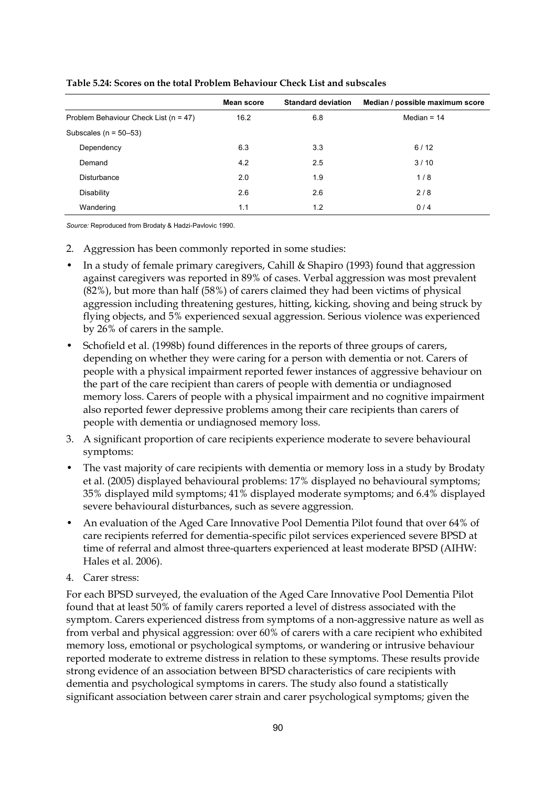|                                           | <b>Mean score</b> | <b>Standard deviation</b> | Median / possible maximum score |
|-------------------------------------------|-------------------|---------------------------|---------------------------------|
| Problem Behaviour Check List ( $n = 47$ ) | 16.2              | 6.8                       | Median = $14$                   |
| Subscales ( $n = 50-53$ )                 |                   |                           |                                 |
| Dependency                                | 6.3               | 3.3                       | 6/12                            |
| Demand                                    | 4.2               | 2.5                       | 3/10                            |
| Disturbance                               | 2.0               | 1.9                       | 1/8                             |
| Disability                                | 2.6               | 2.6                       | 2/8                             |
| Wandering                                 | 1.1               | 1.2                       | 0/4                             |

#### **Table 5.24: Scores on the total Problem Behaviour Check List and subscales**

*Source:* Reproduced from Brodaty & Hadzi-Pavlovic 1990.

- 2. Aggression has been commonly reported in some studies:
- In a study of female primary caregivers, Cahill & Shapiro (1993) found that aggression against caregivers was reported in 89% of cases. Verbal aggression was most prevalent (82%), but more than half (58%) of carers claimed they had been victims of physical aggression including threatening gestures, hitting, kicking, shoving and being struck by flying objects, and 5% experienced sexual aggression. Serious violence was experienced by 26% of carers in the sample.
- Schofield et al. (1998b) found differences in the reports of three groups of carers, depending on whether they were caring for a person with dementia or not. Carers of people with a physical impairment reported fewer instances of aggressive behaviour on the part of the care recipient than carers of people with dementia or undiagnosed memory loss. Carers of people with a physical impairment and no cognitive impairment also reported fewer depressive problems among their care recipients than carers of people with dementia or undiagnosed memory loss.
- 3. A significant proportion of care recipients experience moderate to severe behavioural symptoms:
- The vast majority of care recipients with dementia or memory loss in a study by Brodaty et al. (2005) displayed behavioural problems: 17% displayed no behavioural symptoms; 35% displayed mild symptoms; 41% displayed moderate symptoms; and 6.4% displayed severe behavioural disturbances, such as severe aggression.
- An evaluation of the Aged Care Innovative Pool Dementia Pilot found that over 64% of care recipients referred for dementia-specific pilot services experienced severe BPSD at time of referral and almost three-quarters experienced at least moderate BPSD (AIHW: Hales et al. 2006).
- 4. Carer stress:

For each BPSD surveyed, the evaluation of the Aged Care Innovative Pool Dementia Pilot found that at least 50% of family carers reported a level of distress associated with the symptom. Carers experienced distress from symptoms of a non-aggressive nature as well as from verbal and physical aggression: over 60% of carers with a care recipient who exhibited memory loss, emotional or psychological symptoms, or wandering or intrusive behaviour reported moderate to extreme distress in relation to these symptoms. These results provide strong evidence of an association between BPSD characteristics of care recipients with dementia and psychological symptoms in carers. The study also found a statistically significant association between carer strain and carer psychological symptoms; given the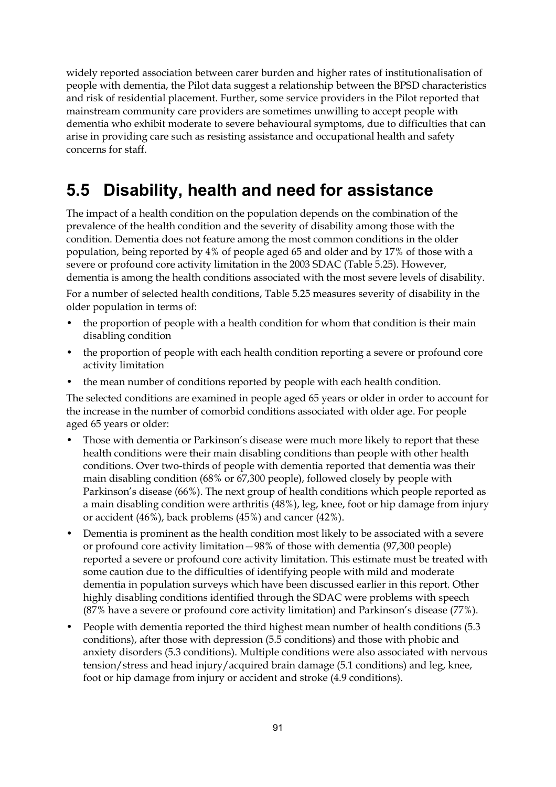widely reported association between carer burden and higher rates of institutionalisation of people with dementia, the Pilot data suggest a relationship between the BPSD characteristics and risk of residential placement. Further, some service providers in the Pilot reported that mainstream community care providers are sometimes unwilling to accept people with dementia who exhibit moderate to severe behavioural symptoms, due to difficulties that can arise in providing care such as resisting assistance and occupational health and safety concerns for staff.

## **5.5 Disability, health and need for assistance**

The impact of a health condition on the population depends on the combination of the prevalence of the health condition and the severity of disability among those with the condition. Dementia does not feature among the most common conditions in the older population, being reported by 4% of people aged 65 and older and by 17% of those with a severe or profound core activity limitation in the 2003 SDAC (Table 5.25). However, dementia is among the health conditions associated with the most severe levels of disability.

For a number of selected health conditions, Table 5.25 measures severity of disability in the older population in terms of:

- the proportion of people with a health condition for whom that condition is their main disabling condition
- the proportion of people with each health condition reporting a severe or profound core activity limitation
- the mean number of conditions reported by people with each health condition.

The selected conditions are examined in people aged 65 years or older in order to account for the increase in the number of comorbid conditions associated with older age. For people aged 65 years or older:

- Those with dementia or Parkinson's disease were much more likely to report that these health conditions were their main disabling conditions than people with other health conditions. Over two-thirds of people with dementia reported that dementia was their main disabling condition (68% or 67,300 people), followed closely by people with Parkinson's disease (66%). The next group of health conditions which people reported as a main disabling condition were arthritis (48%), leg, knee, foot or hip damage from injury or accident (46%), back problems (45%) and cancer (42%).
- Dementia is prominent as the health condition most likely to be associated with a severe or profound core activity limitation—98% of those with dementia (97,300 people) reported a severe or profound core activity limitation. This estimate must be treated with some caution due to the difficulties of identifying people with mild and moderate dementia in population surveys which have been discussed earlier in this report. Other highly disabling conditions identified through the SDAC were problems with speech (87% have a severe or profound core activity limitation) and Parkinson's disease (77%).
- People with dementia reported the third highest mean number of health conditions (5.3 conditions), after those with depression (5.5 conditions) and those with phobic and anxiety disorders (5.3 conditions). Multiple conditions were also associated with nervous tension/stress and head injury/acquired brain damage (5.1 conditions) and leg, knee, foot or hip damage from injury or accident and stroke (4.9 conditions).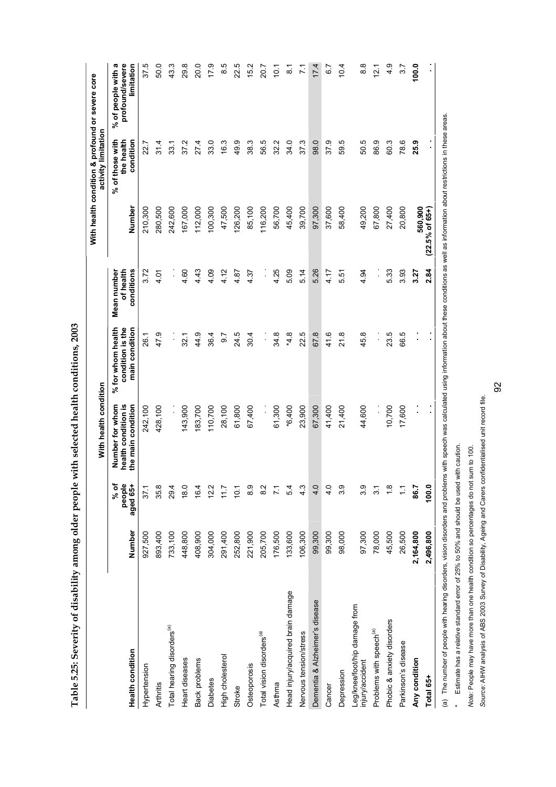|                                                  |           |                            | With health condition                                        |                                                         |                                        |                            | With health condition & profound or severe core<br>activity limitation |                                                     |
|--------------------------------------------------|-----------|----------------------------|--------------------------------------------------------------|---------------------------------------------------------|----------------------------------------|----------------------------|------------------------------------------------------------------------|-----------------------------------------------------|
| <b>Health condition</b>                          | Number    | people<br>% of<br>aged 65+ | health condition is<br>Number for whom<br>the main condition | condition is the<br>main condition<br>% for whom health | Mean number<br>of health<br>conditions | Number                     | condition<br>% of those with<br>the health                             | % of people with a<br>profound/severe<br>limitation |
| Hypertension                                     | 927,500   | 37.1                       | 242,100                                                      | 26.1                                                    | 3.72                                   | 210,300                    | 22.7                                                                   | 37.5                                                |
| Arthritis                                        | 893,400   | 35.8                       | 428,100                                                      | 47.9                                                    | 4.01                                   | 280,500                    | 31.4                                                                   | 50.0                                                |
| Total hearing disorders <sup>(a)</sup>           | 733,100   | 29.4                       |                                                              | Į.                                                      | :                                      | 242,600                    | 33.1                                                                   | 43.3                                                |
| Heart diseases                                   | 448,800   | 18.0                       | 143,900                                                      | 32.1                                                    | 4.60                                   | 167,000                    | 37.2                                                                   | 29.8                                                |
| Back problems                                    | 408,900   | 16.4                       | 183,700                                                      | 44.9                                                    | 4.43                                   | 112,000                    | 27.4                                                                   | 20.0                                                |
| <b>Diabetes</b>                                  | 304,000   | 12.2                       | 110,700                                                      | 36.4                                                    | 4.09                                   | 100,300                    | 33.0                                                                   | 0.11                                                |
| High cholesterol                                 | 291,400   | 11.7                       | 28,100                                                       | 0.7                                                     | 4.12                                   | 47,500                     | 16.3                                                                   | 8.5                                                 |
| Stroke                                           | 252,800   | 10.1                       | 61,800                                                       | 24.5                                                    | 4.87                                   | 126,200                    | 49.9                                                                   | 22.5                                                |
| Osteoporosis                                     | 221,900   | 8.9                        | 67,400                                                       | 30.4                                                    | 4.37                                   | 85,100                     | 38.3                                                                   | 15.2                                                |
| Total vision disorders <sup>(a)</sup>            | 205,700   | $\frac{2}{8}$              | $\ddot{\phantom{a}}$                                         | $\frac{1}{2}$                                           | $\vdots$                               | 116,200                    | 56.5                                                                   | 20.7                                                |
| Asthma                                           | 176,500   |                            | 61,300                                                       | 34.8                                                    | 4.25                                   | 56,700                     | 32.2                                                                   | $\frac{1}{2}$                                       |
| Head injury/acquired brain damage                | 133,600   | 54                         | $*6,400$                                                     | $*4.8$                                                  | 5.09                                   | 45,400                     | 34.0                                                                   | $\frac{1}{8}$                                       |
| Nervous tension/stress                           | 106,300   | $4.\overline{3}$           | 23,900                                                       | 22.5                                                    | 5.14                                   | 39,700                     | 37.3                                                                   | $\frac{1}{2}$                                       |
| Dementia & Alzheimer's disease                   | 99,300    | 4.0                        | 67,300                                                       | 67.8                                                    | 5.26                                   | 97,300                     | 98.0                                                                   | 17.4                                                |
| Cancer                                           | 99,300    | $\frac{0}{4}$              | 41,400                                                       | 41.6                                                    | 4.17                                   | 37,600                     | 37.9                                                                   | 5 0                                                 |
| Depression                                       | 98,000    | 3.9                        | 21,400                                                       | 21.8                                                    | 5.51                                   | 58,400                     | 59.5                                                                   | 10.4                                                |
| Leg/knee/foot/hip damage from<br>injury/accident | 97,300    | 39                         | 44,600                                                       | 45.8                                                    | 4.94                                   | 49,200                     | 50.5                                                                   | $\frac{8}{6}$                                       |
| Problems with speech <sup>(a)</sup>              | 78,000    | $\overline{3}$ .           |                                                              | $\ddot{\phantom{0}}$                                    | İ,                                     | 67,800                     | 86.9                                                                   | 12.1                                                |
| Phobic & anxiety disorders                       | 45,500    | $\frac{8}{1}$              | 10,700                                                       | 23.5                                                    | 5.33                                   | 27,400                     | 60.3                                                                   | $\frac{9}{4}$                                       |
| Parkinson's disease                              | 26,500    | $\tilde{\cdot}$            | 17,600                                                       | 66.5                                                    | 3.93                                   | 20,800                     | 78.6                                                                   | 5.7                                                 |
| Any condition                                    | 2,164,800 | 86.7                       | ,                                                            |                                                         | 3.27                                   | 560,900                    | 25.9                                                                   | 100.0                                               |
| Total 65+                                        | 2,496,800 | 100.0                      | $\blacksquare$                                               | $\blacksquare$                                          | 2.84                                   | $(22.5\% \text{ of } 65+)$ | $\blacksquare$                                                         |                                                     |

Table 5.25: Severity of disability among older people with selected health conditions, 2003 **Table 5.25: Severity of disability among older people with selected health conditions, 2003** 

(a) The number of people with hearing disorders, vision disorders and problems with speech was calculated using information about these conditions as well as information about restrictions in these areas. (a) The number of people with hearing disorders, vision disorders and problems with speech was calculated using information as information about restrictions in these areas.

\* Estimate has a relative standard error of 25% to 50% and should be used with caution. \* Estimate has a relative standard error of 25% to 50% and should be used with caution.

*Note:* People may have more than one health condition so percentages do not sum to 100. Note: People may have more than one health condition so percentages do not sum to 100.

Source: AIHW analysis of ABS 2003 Survey of Disability, Ageing and Carers confidentialised unit record file. *Source:* AIHW analysis of ABS 2003 Survey of Disability, Ageing and Carers confidentialised unit record file.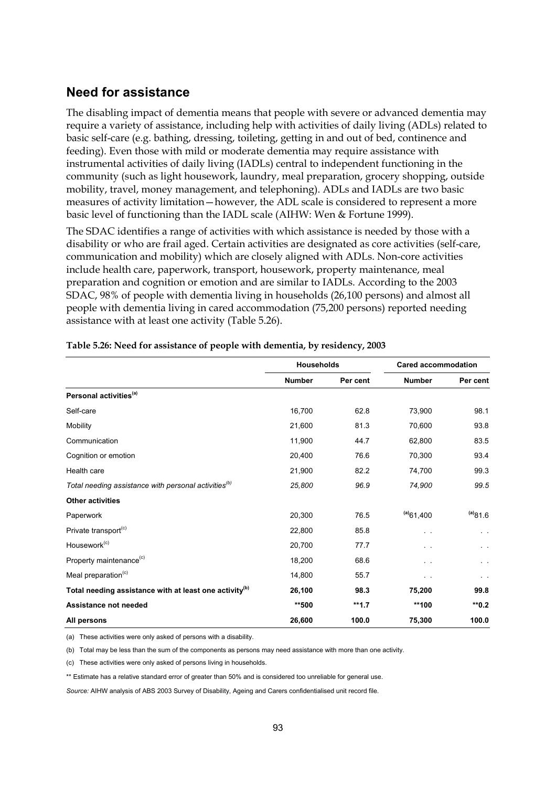### **Need for assistance**

The disabling impact of dementia means that people with severe or advanced dementia may require a variety of assistance, including help with activities of daily living (ADLs) related to basic self-care (e.g. bathing, dressing, toileting, getting in and out of bed, continence and feeding). Even those with mild or moderate dementia may require assistance with instrumental activities of daily living (IADLs) central to independent functioning in the community (such as light housework, laundry, meal preparation, grocery shopping, outside mobility, travel, money management, and telephoning). ADLs and IADLs are two basic measures of activity limitation—however, the ADL scale is considered to represent a more basic level of functioning than the IADL scale (AIHW: Wen & Fortune 1999).

The SDAC identifies a range of activities with which assistance is needed by those with a disability or who are frail aged. Certain activities are designated as core activities (self-care, communication and mobility) which are closely aligned with ADLs. Non-core activities include health care, paperwork, transport, housework, property maintenance, meal preparation and cognition or emotion and are similar to IADLs. According to the 2003 SDAC, 98% of people with dementia living in households (26,100 persons) and almost all people with dementia living in cared accommodation (75,200 persons) reported needing assistance with at least one activity (Table 5.26).

|                                                                    | <b>Households</b> |          | <b>Cared accommodation</b> |           |
|--------------------------------------------------------------------|-------------------|----------|----------------------------|-----------|
|                                                                    | <b>Number</b>     | Per cent | <b>Number</b>              | Per cent  |
| Personal activities <sup>(a)</sup>                                 |                   |          |                            |           |
| Self-care                                                          | 16,700            | 62.8     | 73,900                     | 98.1      |
| Mobility                                                           | 21,600            | 81.3     | 70,600                     | 93.8      |
| Communication                                                      | 11,900            | 44.7     | 62,800                     | 83.5      |
| Cognition or emotion                                               | 20,400            | 76.6     | 70,300                     | 93.4      |
| Health care                                                        | 21,900            | 82.2     | 74,700                     | 99.3      |
| Total needing assistance with personal activities <sup>(b)</sup>   | 25,800            | 96.9     | 74,900                     | 99.5      |
| <b>Other activities</b>                                            |                   |          |                            |           |
| Paperwork                                                          | 20,300            | 76.5     | $(a)$ 61,400               | (a)81.6   |
| Private transport <sup>(c)</sup>                                   | 22,800            | 85.8     | . .                        | $\sim$    |
| Housework <sup>(c)</sup>                                           | 20,700            | 77.7     | $\sim$                     | $\sim$    |
| Property maintenance <sup>(c)</sup>                                | 18,200            | 68.6     | $\ddot{\phantom{1}}$       | $\ddotsc$ |
| Meal preparation <sup>(c)</sup>                                    | 14,800            | 55.7     | $\ddot{\phantom{1}}$       | $\cdots$  |
| Total needing assistance with at least one activity <sup>(b)</sup> | 26,100            | 98.3     | 75,200                     | 99.8      |
| Assistance not needed                                              | **500             | $*1.7$   | **100                      | $*0.2$    |
| All persons                                                        | 26,600            | 100.0    | 75,300                     | 100.0     |

**Table 5.26: Need for assistance of people with dementia, by residency, 2003** 

(a) These activities were only asked of persons with a disability.

(b) Total may be less than the sum of the components as persons may need assistance with more than one activity.

(c) These activities were only asked of persons living in households.

\*\* Estimate has a relative standard error of greater than 50% and is considered too unreliable for general use.

*Source:* AIHW analysis of ABS 2003 Survey of Disability, Ageing and Carers confidentialised unit record file.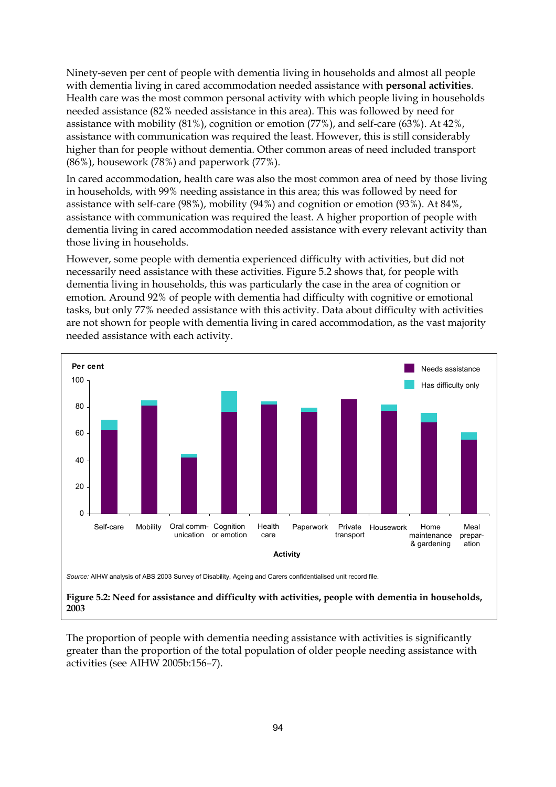Ninety-seven per cent of people with dementia living in households and almost all people with dementia living in cared accommodation needed assistance with **personal activities**. Health care was the most common personal activity with which people living in households needed assistance (82% needed assistance in this area). This was followed by need for assistance with mobility (81%), cognition or emotion (77%), and self-care (63%). At 42%, assistance with communication was required the least. However, this is still considerably higher than for people without dementia. Other common areas of need included transport (86%), housework (78%) and paperwork (77%).

In cared accommodation, health care was also the most common area of need by those living in households, with 99% needing assistance in this area; this was followed by need for assistance with self-care (98%), mobility (94%) and cognition or emotion (93%). At 84%, assistance with communication was required the least. A higher proportion of people with dementia living in cared accommodation needed assistance with every relevant activity than those living in households.

However, some people with dementia experienced difficulty with activities, but did not necessarily need assistance with these activities. Figure 5.2 shows that, for people with dementia living in households, this was particularly the case in the area of cognition or emotion. Around 92% of people with dementia had difficulty with cognitive or emotional tasks, but only 77% needed assistance with this activity. Data about difficulty with activities are not shown for people with dementia living in cared accommodation, as the vast majority needed assistance with each activity.



**Figure 5.2: Need for assistance and difficulty with activities, people with dementia in households, 2003** 

The proportion of people with dementia needing assistance with activities is significantly greater than the proportion of the total population of older people needing assistance with activities (see AIHW 2005b:156–7).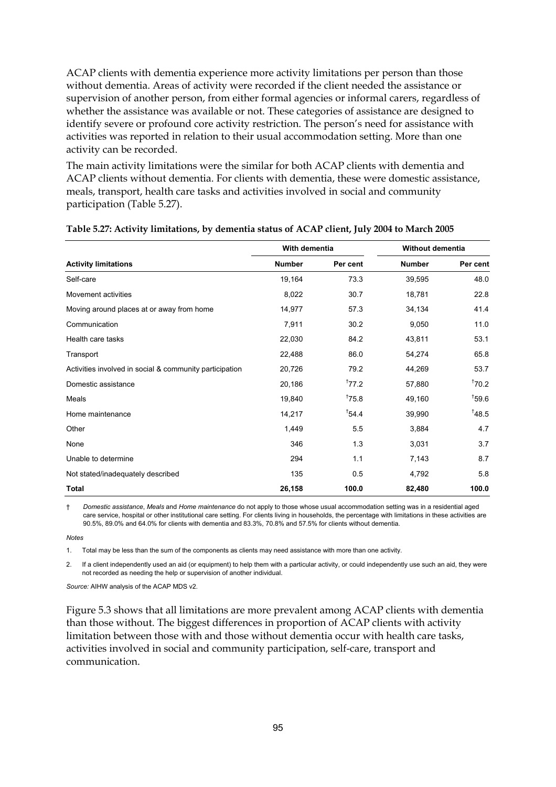ACAP clients with dementia experience more activity limitations per person than those without dementia. Areas of activity were recorded if the client needed the assistance or supervision of another person, from either formal agencies or informal carers, regardless of whether the assistance was available or not. These categories of assistance are designed to identify severe or profound core activity restriction. The person's need for assistance with activities was reported in relation to their usual accommodation setting. More than one activity can be recorded.

The main activity limitations were the similar for both ACAP clients with dementia and ACAP clients without dementia. For clients with dementia, these were domestic assistance, meals, transport, health care tasks and activities involved in social and community participation (Table 5.27).

|                                                         | With dementia |          | Without dementia |          |  |
|---------------------------------------------------------|---------------|----------|------------------|----------|--|
| <b>Activity limitations</b>                             | <b>Number</b> | Per cent | <b>Number</b>    | Per cent |  |
| Self-care                                               | 19,164        | 73.3     | 39,595           | 48.0     |  |
| Movement activities                                     | 8,022         | 30.7     | 18,781           | 22.8     |  |
| Moving around places at or away from home               | 14,977        | 57.3     | 34,134           | 41.4     |  |
| Communication                                           | 7,911         | 30.2     | 9,050            | 11.0     |  |
| Health care tasks                                       | 22,030        | 84.2     | 43,811           | 53.1     |  |
| Transport                                               | 22,488        | 86.0     | 54,274           | 65.8     |  |
| Activities involved in social & community participation | 20,726        | 79.2     | 44,269           | 53.7     |  |
| Domestic assistance                                     | 20,186        | 177.2    | 57,880           | 170.2    |  |
| Meals                                                   | 19,840        | 175.8    | 49,160           | 159.6    |  |
| Home maintenance                                        | 14,217        | 154.4    | 39,990           | 148.5    |  |
| Other                                                   | 1,449         | 5.5      | 3,884            | 4.7      |  |
| None                                                    | 346           | 1.3      | 3,031            | 3.7      |  |
| Unable to determine                                     | 294           | 1.1      | 7,143            | 8.7      |  |
| Not stated/inadequately described                       | 135           | 0.5      | 4,792            | 5.8      |  |
| Total                                                   | 26,158        | 100.0    | 82,480           | 100.0    |  |

#### **Table 5.27: Activity limitations, by dementia status of ACAP client, July 2004 to March 2005**

† *Domestic assistance*, *Meals* and *Home maintenance* do not apply to those whose usual accommodation setting was in a residential aged care service, hospital or other institutional care setting. For clients living in households, the percentage with limitations in these activities are 90.5%, 89.0% and 64.0% for clients with dementia and 83.3%, 70.8% and 57.5% for clients without dementia.

#### *Notes*

1. Total may be less than the sum of the components as clients may need assistance with more than one activity.

2. If a client independently used an aid (or equipment) to help them with a particular activity, or could independently use such an aid, they were not recorded as needing the help or supervision of another individual.

*Source:* AIHW analysis of the ACAP MDS v2.

Figure 5.3 shows that all limitations are more prevalent among ACAP clients with dementia than those without. The biggest differences in proportion of ACAP clients with activity limitation between those with and those without dementia occur with health care tasks, activities involved in social and community participation, self-care, transport and communication.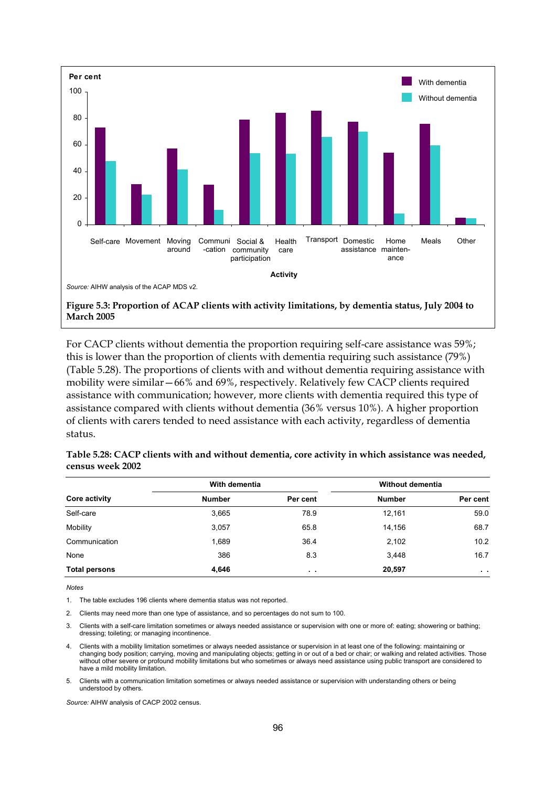

For CACP clients without dementia the proportion requiring self-care assistance was 59%; this is lower than the proportion of clients with dementia requiring such assistance (79%) (Table 5.28). The proportions of clients with and without dementia requiring assistance with mobility were similar—66% and 69%, respectively. Relatively few CACP clients required assistance with communication; however, more clients with dementia required this type of assistance compared with clients without dementia (36% versus 10%). A higher proportion of clients with carers tended to need assistance with each activity, regardless of dementia status.

|                      | With dementia |          | <b>Without dementia</b> |               |
|----------------------|---------------|----------|-------------------------|---------------|
| Core activity        | <b>Number</b> | Per cent | <b>Number</b>           | Per cent      |
| Self-care            | 3,665         | 78.9     | 12,161                  | 59.0          |
| Mobility             | 3,057         | 65.8     | 14,156                  | 68.7          |
| Communication        | 1,689         | 36.4     | 2,102                   | 10.2          |
| None                 | 386           | 8.3      | 3,448                   | 16.7          |
| <b>Total persons</b> | 4,646         | $\sim$   | 20,597                  | $\sim$ $\sim$ |

**Table 5.28: CACP clients with and without dementia, core activity in which assistance was needed, census week 2002** 

*Notes* 

1. The table excludes 196 clients where dementia status was not reported.

2. Clients may need more than one type of assistance, and so percentages do not sum to 100.

3. Clients with a self-care limitation sometimes or always needed assistance or supervision with one or more of: eating; showering or bathing; dressing; toileting; or managing incontinence.

- 4. Clients with a mobility limitation sometimes or always needed assistance or supervision in at least one of the following: maintaining or<br>changing body position; carrying, moving and manipulating objects; getting in or o without other severe or profound mobility limitations but who sometimes or always need assistance using public transport are considered to have a mild mobility limitation.
- 5. Clients with a communication limitation sometimes or always needed assistance or supervision with understanding others or being understood by others.

*Source:* AIHW analysis of CACP 2002 census.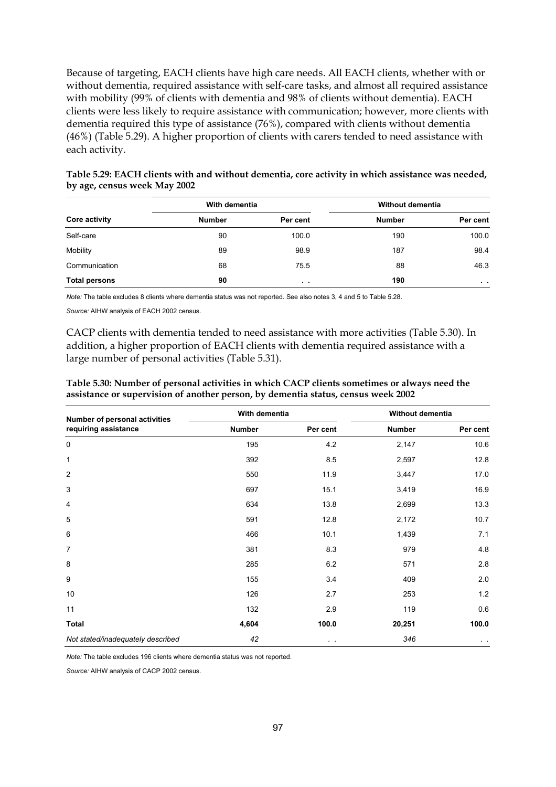Because of targeting, EACH clients have high care needs. All EACH clients, whether with or without dementia, required assistance with self-care tasks, and almost all required assistance with mobility (99% of clients with dementia and 98% of clients without dementia). EACH clients were less likely to require assistance with communication; however, more clients with dementia required this type of assistance (76%), compared with clients without dementia (46%) (Table 5.29). A higher proportion of clients with carers tended to need assistance with each activity.

|                      | With dementia |               | Without dementia |               |
|----------------------|---------------|---------------|------------------|---------------|
| <b>Core activity</b> | <b>Number</b> | Per cent      | <b>Number</b>    | Per cent      |
| Self-care            | 90            | 100.0         | 190              | 100.0         |
| Mobility             | 89            | 98.9          | 187              | 98.4          |
| Communication        | 68            | 75.5          | 88               | 46.3          |
| <b>Total persons</b> | 90            | $\sim$ $\sim$ | 190              | $\sim$ $\sim$ |

**Table 5.29: EACH clients with and without dementia, core activity in which assistance was needed, by age, census week May 2002** 

*Note:* The table excludes 8 clients where dementia status was not reported. See also notes 3, 4 and 5 to Table 5.28.

*Source:* AIHW analysis of EACH 2002 census.

CACP clients with dementia tended to need assistance with more activities (Table 5.30). In addition, a higher proportion of EACH clients with dementia required assistance with a large number of personal activities (Table 5.31).

| Number of personal activities     | <b>Number</b> |                | With dementia |              | Without dementia |  |
|-----------------------------------|---------------|----------------|---------------|--------------|------------------|--|
| requiring assistance              |               | Per cent       | <b>Number</b> | Per cent     |                  |  |
| $\mathbf 0$                       | 195           | 4.2            | 2,147         | 10.6         |                  |  |
| 1                                 | 392           | 8.5            | 2,597         | 12.8         |                  |  |
| $\overline{2}$                    | 550           | 11.9           | 3,447         | 17.0         |                  |  |
| 3                                 | 697           | 15.1           | 3,419         | 16.9         |                  |  |
| 4                                 | 634           | 13.8           | 2,699         | 13.3         |                  |  |
| 5                                 | 591           | 12.8           | 2,172         | 10.7         |                  |  |
| 6                                 | 466           | 10.1           | 1,439         | 7.1          |                  |  |
| 7                                 | 381           | 8.3            | 979           | 4.8          |                  |  |
| 8                                 | 285           | 6.2            | 571           | 2.8          |                  |  |
| 9                                 | 155           | 3.4            | 409           | 2.0          |                  |  |
| 10                                | 126           | 2.7            | 253           | 1.2          |                  |  |
| 11                                | 132           | 2.9            | 119           | 0.6          |                  |  |
| <b>Total</b>                      | 4,604         | 100.0          | 20,251        | 100.0        |                  |  |
| Not stated/inadequately described | 42            | $\sim$ $ \sim$ | 346           | $\alpha = 1$ |                  |  |

**Table 5.30: Number of personal activities in which CACP clients sometimes or always need the assistance or supervision of another person, by dementia status, census week 2002** 

*Note:* The table excludes 196 clients where dementia status was not reported.

*Source:* AIHW analysis of CACP 2002 census.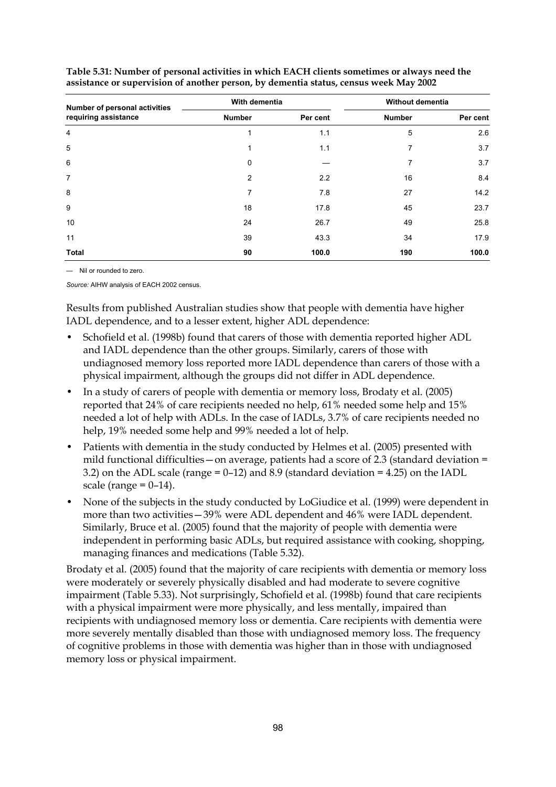| Number of personal activities | With dementia  |          | Without dementia |          |
|-------------------------------|----------------|----------|------------------|----------|
| requiring assistance          | <b>Number</b>  | Per cent | <b>Number</b>    | Per cent |
| $\overline{4}$                | 1              | 1.1      | 5                | 2.6      |
| 5                             | 1              | 1.1      | 7                | 3.7      |
| 6                             | 0              |          | 7                | 3.7      |
| $\overline{7}$                | $\overline{2}$ | 2.2      | 16               | 8.4      |
| 8                             | 7              | 7.8      | 27               | 14.2     |
| 9                             | 18             | 17.8     | 45               | 23.7     |
| 10                            | 24             | 26.7     | 49               | 25.8     |
| 11                            | 39             | 43.3     | 34               | 17.9     |
| <b>Total</b>                  | 90             | 100.0    | 190              | 100.0    |

**Table 5.31: Number of personal activities in which EACH clients sometimes or always need the assistance or supervision of another person, by dementia status, census week May 2002** 

— Nil or rounded to zero.

*Source:* AIHW analysis of EACH 2002 census.

Results from published Australian studies show that people with dementia have higher IADL dependence, and to a lesser extent, higher ADL dependence:

- Schofield et al. (1998b) found that carers of those with dementia reported higher ADL and IADL dependence than the other groups. Similarly, carers of those with undiagnosed memory loss reported more IADL dependence than carers of those with a physical impairment, although the groups did not differ in ADL dependence.
- In a study of carers of people with dementia or memory loss, Brodaty et al. (2005) reported that 24% of care recipients needed no help, 61% needed some help and 15% needed a lot of help with ADLs. In the case of IADLs, 3.7% of care recipients needed no help, 19% needed some help and 99% needed a lot of help.
- Patients with dementia in the study conducted by Helmes et al. (2005) presented with mild functional difficulties — on average, patients had a score of 2.3 (standard deviation  $=$ 3.2) on the ADL scale (range = 0–12) and 8.9 (standard deviation = 4.25) on the IADL scale (range  $= 0-14$ ).
- None of the subjects in the study conducted by LoGiudice et al. (1999) were dependent in more than two activities—39% were ADL dependent and 46% were IADL dependent. Similarly, Bruce et al. (2005) found that the majority of people with dementia were independent in performing basic ADLs, but required assistance with cooking, shopping, managing finances and medications (Table 5.32).

Brodaty et al. (2005) found that the majority of care recipients with dementia or memory loss were moderately or severely physically disabled and had moderate to severe cognitive impairment (Table 5.33). Not surprisingly, Schofield et al. (1998b) found that care recipients with a physical impairment were more physically, and less mentally, impaired than recipients with undiagnosed memory loss or dementia. Care recipients with dementia were more severely mentally disabled than those with undiagnosed memory loss. The frequency of cognitive problems in those with dementia was higher than in those with undiagnosed memory loss or physical impairment.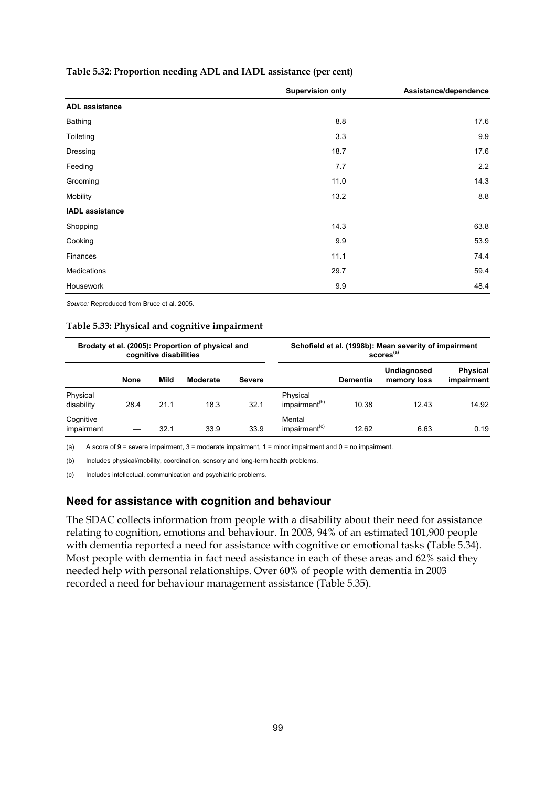|                        | <b>Supervision only</b> | Assistance/dependence |
|------------------------|-------------------------|-----------------------|
| <b>ADL</b> assistance  |                         |                       |
| <b>Bathing</b>         | 8.8                     | 17.6                  |
| Toileting              | 3.3                     | 9.9                   |
| Dressing               | 18.7                    | 17.6                  |
| Feeding                | 7.7                     | 2.2                   |
| Grooming               | 11.0                    | 14.3                  |
| Mobility               | 13.2                    | 8.8                   |
| <b>IADL</b> assistance |                         |                       |
| Shopping               | 14.3                    | 63.8                  |
| Cooking                | 9.9                     | 53.9                  |
| Finances               | 11.1                    | 74.4                  |
| <b>Medications</b>     | 29.7                    | 59.4                  |
| Housework              | 9.9                     | 48.4                  |

#### **Table 5.32: Proportion needing ADL and IADL assistance (per cent)**

*Source:* Reproduced from Bruce et al. 2005.

#### **Table 5.33: Physical and cognitive impairment**

|                         |             | cognitive disabilities | Brodaty et al. (2005): Proportion of physical and |               |                                       |                 | Schofield et al. (1998b): Mean severity of impairment<br>scores <sup>(a)</sup> |                               |
|-------------------------|-------------|------------------------|---------------------------------------------------|---------------|---------------------------------------|-----------------|--------------------------------------------------------------------------------|-------------------------------|
|                         | <b>None</b> | Mild                   | Moderate                                          | <b>Severe</b> |                                       | <b>Dementia</b> | Undiagnosed<br>memory loss                                                     | <b>Physical</b><br>impairment |
| Physical<br>disability  | 28.4        | 21.1                   | 18.3                                              | 32.1          | Physical<br>impairment <sup>(b)</sup> | 10.38           | 12.43                                                                          | 14.92                         |
| Cognitive<br>impairment |             | 32.1                   | 33.9                                              | 33.9          | Mental<br>impairment <sup>(c)</sup>   | 12.62           | 6.63                                                                           | 0.19                          |

(a) A score of 9 = severe impairment,  $3$  = moderate impairment,  $1$  = minor impairment and  $0$  = no impairment.

(b) Includes physical/mobility, coordination, sensory and long-term health problems.

(c) Includes intellectual, communication and psychiatric problems.

### **Need for assistance with cognition and behaviour**

The SDAC collects information from people with a disability about their need for assistance relating to cognition, emotions and behaviour. In 2003, 94% of an estimated 101,900 people with dementia reported a need for assistance with cognitive or emotional tasks (Table 5.34). Most people with dementia in fact need assistance in each of these areas and 62% said they needed help with personal relationships. Over 60% of people with dementia in 2003 recorded a need for behaviour management assistance (Table 5.35).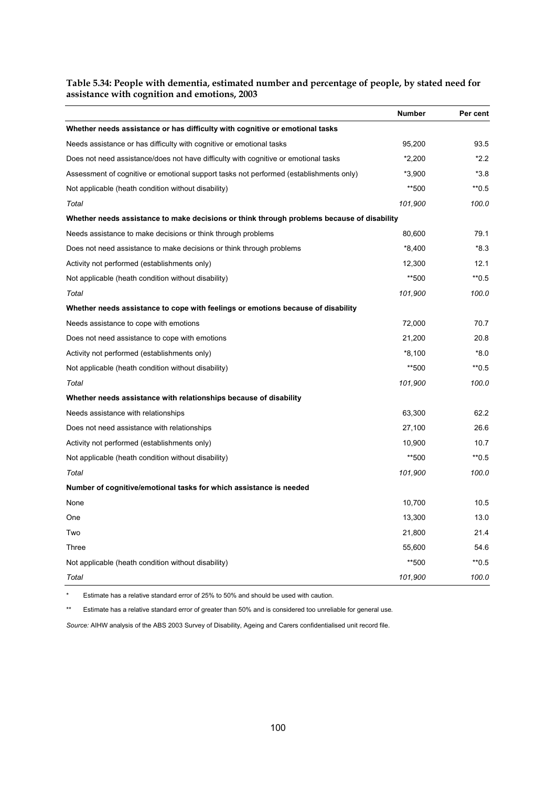### **Table 5.34: People with dementia, estimated number and percentage of people, by stated need for assistance with cognition and emotions, 2003**

|                                                                                            | <b>Number</b> | Per cent           |
|--------------------------------------------------------------------------------------------|---------------|--------------------|
| Whether needs assistance or has difficulty with cognitive or emotional tasks               |               |                    |
| Needs assistance or has difficulty with cognitive or emotional tasks                       | 95,200        | 93.5               |
| Does not need assistance/does not have difficulty with cognitive or emotional tasks        | $*2.200$      | $*2.2$             |
| Assessment of cognitive or emotional support tasks not performed (establishments only)     | $*3,900$      | $*3.8$             |
| Not applicable (heath condition without disability)                                        | **500         | $*$ <sup>0.5</sup> |
| Total                                                                                      | 101,900       | 100.0              |
| Whether needs assistance to make decisions or think through problems because of disability |               |                    |
| Needs assistance to make decisions or think through problems                               | 80,600        | 79.1               |
| Does not need assistance to make decisions or think through problems                       | $*8,400$      | $*8.3$             |
| Activity not performed (establishments only)                                               | 12.300        | 12.1               |
| Not applicable (heath condition without disability)                                        | **500         | $*$ 0.5            |
| Total                                                                                      | 101,900       | 100.0              |
| Whether needs assistance to cope with feelings or emotions because of disability           |               |                    |
| Needs assistance to cope with emotions                                                     | 72,000        | 70.7               |
| Does not need assistance to cope with emotions                                             | 21,200        | 20.8               |
| Activity not performed (establishments only)                                               | $*8,100$      | $*8.0$             |
| Not applicable (heath condition without disability)                                        | **500         | $*$ <sup>0.5</sup> |
| Total                                                                                      | 101,900       | 100.0              |
| Whether needs assistance with relationships because of disability                          |               |                    |
| Needs assistance with relationships                                                        | 63,300        | 62.2               |
| Does not need assistance with relationships                                                | 27,100        | 26.6               |
| Activity not performed (establishments only)                                               | 10,900        | 10.7               |
| Not applicable (heath condition without disability)                                        | **500         | $*$ 0.5            |
| Total                                                                                      | 101,900       | 100.0              |
| Number of cognitive/emotional tasks for which assistance is needed                         |               |                    |
| None                                                                                       | 10,700        | 10.5               |
| One                                                                                        | 13,300        | 13.0               |
| Two                                                                                        | 21,800        | 21.4               |
| Three                                                                                      | 55,600        | 54.6               |
| Not applicable (heath condition without disability)                                        | **500         | $*$ 0.5            |
| Total                                                                                      | 101,900       | 100.0              |

\* Estimate has a relative standard error of 25% to 50% and should be used with caution.

\*\* Estimate has a relative standard error of greater than 50% and is considered too unreliable for general use*.* 

*Source:* AIHW analysis of the ABS 2003 Survey of Disability, Ageing and Carers confidentialised unit record file.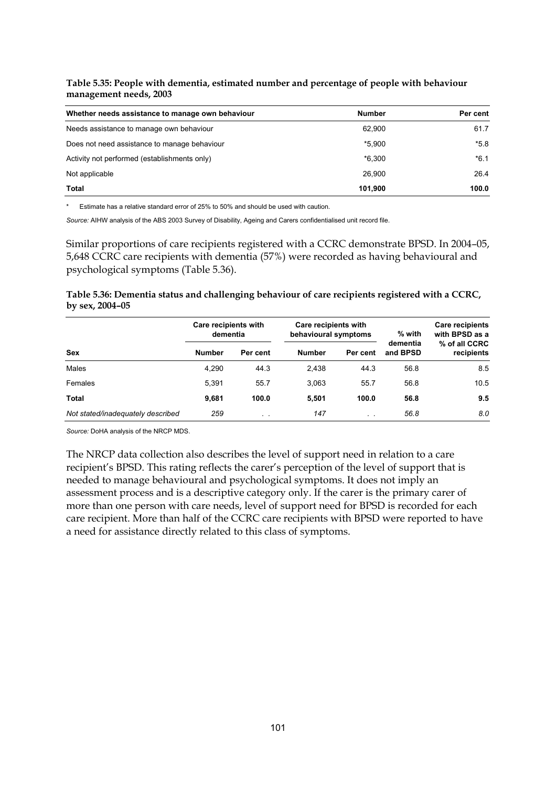**Table 5.35: People with dementia, estimated number and percentage of people with behaviour management needs, 2003** 

| Whether needs assistance to manage own behaviour | <b>Number</b> | Per cent |
|--------------------------------------------------|---------------|----------|
| Needs assistance to manage own behaviour         | 62.900        | 61.7     |
| Does not need assistance to manage behaviour     | *5.900        | $*5.8$   |
| Activity not performed (establishments only)     | $*6.300$      | $*6.1$   |
| Not applicable                                   | 26.900        | 26.4     |
| Total                                            | 101.900       | 100.0    |

\* Estimate has a relative standard error of 25% to 50% and should be used with caution.

*Source:* AIHW analysis of the ABS 2003 Survey of Disability, Ageing and Carers confidentialised unit record file.

Similar proportions of care recipients registered with a CCRC demonstrate BPSD. In 2004–05, 5,648 CCRC care recipients with dementia (57%) were recorded as having behavioural and psychological symptoms (Table 5.36).

**Table 5.36: Dementia status and challenging behaviour of care recipients registered with a CCRC, by sex, 2004–05** 

|                                   | Care recipients with<br>dementia |           | Care recipients with<br>behavioural symptoms |               | $%$ with             | <b>Care recipients</b><br>with BPSD as a |
|-----------------------------------|----------------------------------|-----------|----------------------------------------------|---------------|----------------------|------------------------------------------|
| <b>Sex</b>                        | <b>Number</b>                    | Per cent  | <b>Number</b>                                | Per cent      | dementia<br>and BPSD | % of all CCRC<br>recipients              |
| Males                             | 4.290                            | 44.3      | 2,438                                        | 44.3          | 56.8                 | 8.5                                      |
| Females                           | 5.391                            | 55.7      | 3.063                                        | 55.7          | 56.8                 | 10.5                                     |
| Total                             | 9,681                            | 100.0     | 5.501                                        | 100.0         | 56.8                 | 9.5                                      |
| Not stated/inadequately described | 259                              | $\cdot$ . | 147                                          | $\sim$ $\sim$ | 56.8                 | 8.0                                      |

*Source:* DoHA analysis of the NRCP MDS.

The NRCP data collection also describes the level of support need in relation to a care recipient's BPSD. This rating reflects the carer's perception of the level of support that is needed to manage behavioural and psychological symptoms. It does not imply an assessment process and is a descriptive category only. If the carer is the primary carer of more than one person with care needs, level of support need for BPSD is recorded for each care recipient. More than half of the CCRC care recipients with BPSD were reported to have a need for assistance directly related to this class of symptoms.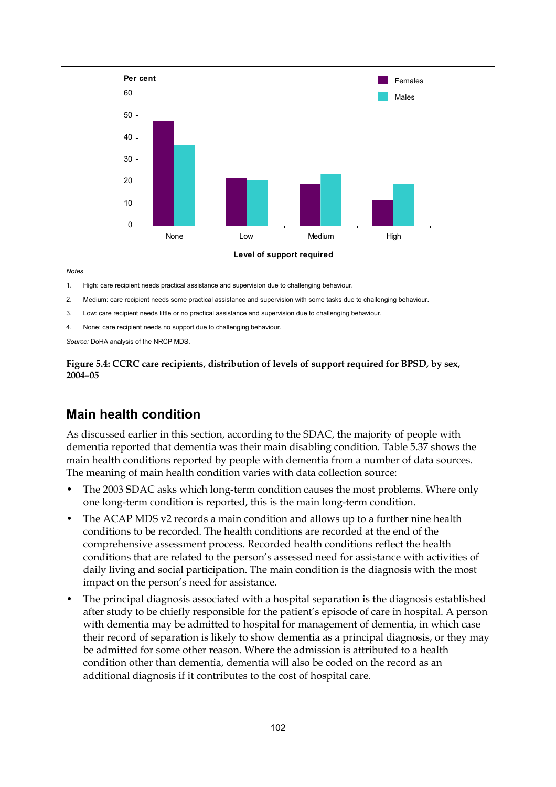

### **Figure 5.4: CCRC care recipients, distribution of levels of support required for BPSD, by sex, 2004–05**

### **Main health condition**

As discussed earlier in this section, according to the SDAC, the majority of people with dementia reported that dementia was their main disabling condition. Table 5.37 shows the main health conditions reported by people with dementia from a number of data sources. The meaning of main health condition varies with data collection source:

- The 2003 SDAC asks which long-term condition causes the most problems. Where only one long-term condition is reported, this is the main long-term condition.
- The ACAP MDS v2 records a main condition and allows up to a further nine health conditions to be recorded. The health conditions are recorded at the end of the comprehensive assessment process. Recorded health conditions reflect the health conditions that are related to the person's assessed need for assistance with activities of daily living and social participation. The main condition is the diagnosis with the most impact on the person's need for assistance.
- The principal diagnosis associated with a hospital separation is the diagnosis established after study to be chiefly responsible for the patient's episode of care in hospital. A person with dementia may be admitted to hospital for management of dementia, in which case their record of separation is likely to show dementia as a principal diagnosis, or they may be admitted for some other reason. Where the admission is attributed to a health condition other than dementia, dementia will also be coded on the record as an additional diagnosis if it contributes to the cost of hospital care.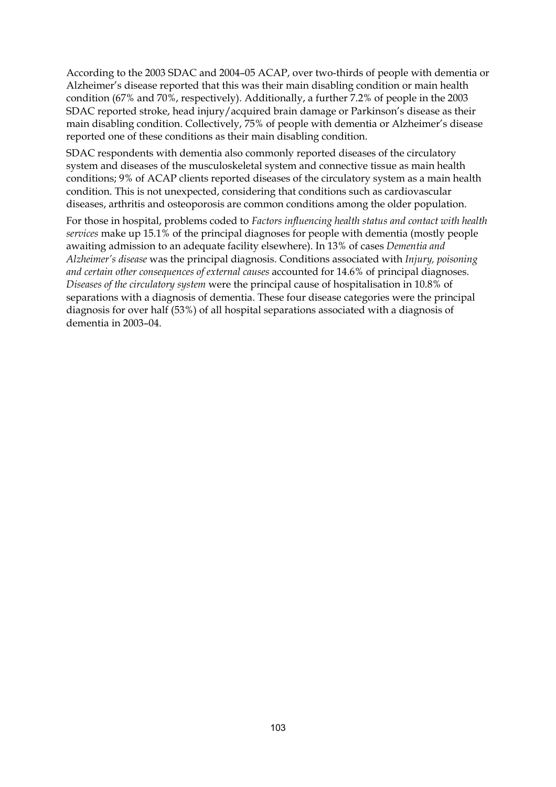According to the 2003 SDAC and 2004–05 ACAP, over two-thirds of people with dementia or Alzheimer's disease reported that this was their main disabling condition or main health condition (67% and 70%, respectively). Additionally, a further 7.2% of people in the 2003 SDAC reported stroke, head injury/acquired brain damage or Parkinson's disease as their main disabling condition. Collectively, 75% of people with dementia or Alzheimer's disease reported one of these conditions as their main disabling condition.

SDAC respondents with dementia also commonly reported diseases of the circulatory system and diseases of the musculoskeletal system and connective tissue as main health conditions; 9% of ACAP clients reported diseases of the circulatory system as a main health condition. This is not unexpected, considering that conditions such as cardiovascular diseases, arthritis and osteoporosis are common conditions among the older population.

For those in hospital, problems coded to *Factors influencing health status and contact with health services* make up 15.1% of the principal diagnoses for people with dementia (mostly people awaiting admission to an adequate facility elsewhere). In 13% of cases *Dementia and Alzheimer's disease* was the principal diagnosis. Conditions associated with *Injury, poisoning and certain other consequences of external causes* accounted for 14.6% of principal diagnoses. *Diseases of the circulatory system* were the principal cause of hospitalisation in 10.8% of separations with a diagnosis of dementia. These four disease categories were the principal diagnosis for over half (53%) of all hospital separations associated with a diagnosis of dementia in 2003–04.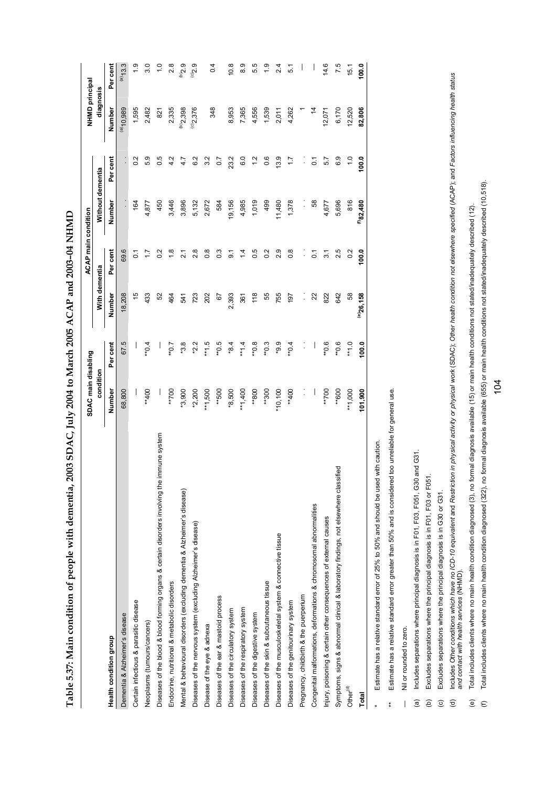| 【【 】 】 】 】 , ( ( ( ( )                                            |
|-------------------------------------------------------------------|
|                                                                   |
|                                                                   |
|                                                                   |
|                                                                   |
|                                                                   |
|                                                                   |
|                                                                   |
| ֖֖֢ׅׅׅ֖֖ׅ֖ׅ֪ׅ֖ׅׅ֖֧֪ׅ֪֧֪ׅ֪֧֚֚֚֚֚֚֚֚֚֚֚֚֚֚֚֚֚֚֡֝֬֝֬֝֬֓֞֝֓֞֓֞֬֝֓֞֬֝֬ |
|                                                                   |
|                                                                   |
| :                                                                 |
|                                                                   |
|                                                                   |
| ו<br>ו                                                            |
|                                                                   |
|                                                                   |
|                                                                   |
|                                                                   |
|                                                                   |
|                                                                   |
|                                                                   |
|                                                                   |
|                                                                   |
|                                                                   |
|                                                                   |
|                                                                   |
|                                                                   |
| ׇׅ֘֝֬                                                             |
|                                                                   |
|                                                                   |
|                                                                   |
|                                                                   |
|                                                                   |
|                                                                   |
|                                                                   |
|                                                                   |
|                                                                   |
|                                                                   |
|                                                                   |
|                                                                   |
|                                                                   |
|                                                                   |
|                                                                   |
|                                                                   |
|                                                                   |
|                                                                   |
|                                                                   |
|                                                                   |
|                                                                   |
|                                                                   |
|                                                                   |
|                                                                   |
|                                                                   |
|                                                                   |
|                                                                   |
|                                                                   |
|                                                                   |
|                                                                   |
|                                                                   |
|                                                                   |
|                                                                   |
|                                                                   |
|                                                                   |
|                                                                   |
|                                                                   |
|                                                                   |
|                                                                   |
|                                                                   |
|                                                                   |
|                                                                   |
|                                                                   |
|                                                                   |
|                                                                   |
|                                                                   |
|                                                                   |
|                                                                   |
|                                                                   |
|                                                                   |
|                                                                   |
| l                                                                 |

|                                                                                              | SDAC main disabling |            |                | ACAP main condition |                      |                | NHMD principal           |                  |
|----------------------------------------------------------------------------------------------|---------------------|------------|----------------|---------------------|----------------------|----------------|--------------------------|------------------|
|                                                                                              | condition           |            | With dementia  |                     | Without dementia     |                | diagnosis                |                  |
| Health condition group                                                                       | Number              | Per cent   | Number         | Per cent            | Number               | Per cent       | Number                   | Per cent         |
| Dementia & Alzheimer's disease                                                               | 68,800              | 67.5       | 18,208         | 69.6                |                      | $\vdots$       | $(a)$ <sub>10</sub> ,989 | $(a)$ 13.3       |
| Certain infectious & parasitic disease                                                       |                     |            | 40             | $\overline{C}$      | 164                  | 0.2            | 1,595                    | $\ddot{0}$       |
| Neoplasms (tumours/cancers)                                                                  | $*400$              | $*0.4$     | 433            |                     | 4,877                | တ<br>ژی        | 2,482                    | 3.0              |
| Diseases of the blood & blood forming organs & certain disorders involving the immune system |                     |            | 52             | 0.2                 | 450                  | 0.5            | 821                      | $\frac{0}{1}$    |
| Endocrine, nutritional & metabolic disorders                                                 | **700               | $10**$     | 464            | $\frac{8}{1}$       | 3,446                | 4.2            | 2,335                    | 2.8              |
| Mental & behavioural disorders (excluding dementia & Alzheimer's disease)                    | $*3,900$            | $*3.8$     | 541            | $\overline{2.1}$    | 3,896                | 4.7            | (b)2,398                 | $6\bar{c}_{(q)}$ |
| Diseases of the nervous system (excluding Alzheimer's disease)                               | $*2,200$            | $*2.2$     | 723            | 2.8                 | 5,132                | 6.2            | $^{(c)}2,376$            | $6^{20}$         |
| Disease of the eye & adnexa                                                                  | $*1,500$            | $51*$      | 202            | $\frac{8}{2}$       | 2,672                | 3.2            |                          | 0.4              |
| Diseases of the ear & mastoid process                                                        | **500               | $6.0**$    | 5              | $0.\overline{3}$    | 584                  | 0.7            | 348                      |                  |
| Diseases of the circulatory system                                                           | $*8,500$            | $*8.4$     | 2,393          | 5.                  | 19,156               | 23.2           | 8,953                    | 10.8             |
| Diseases of the respiratory system                                                           | $**1,400$           | $+1.4$     | 361            | $\overline{4}$      | 4,985                | 6.0            | 7,365                    | Q,<br>ထံ         |
| Diseases of the digestive system                                                             | **800               | **0.8      | 118            | 0.5                 | 1,019                | $\frac{2}{1}$  | 4,556                    | rö<br>ທ່         |
| Diseases of the skin & subcutaneous tissue                                                   | **300               | $*0.3$     | 55             | 0.2                 | 499                  | 0.6            | 1,539                    |                  |
| Diseases of the musculoskeletal system & connective tissue                                   | $*10,100$           | $0.9*$     | 755            | Q,<br>۸i            | 11,480               | 13.9           | 2,011                    | 24               |
| Diseases of the genitourinary system                                                         | **400               | $*0.4$     | 197            | $\frac{8}{2}$       | 1,378                | $\ddot{ }$ :   | 4,262                    | 5.1              |
| Pregnancy, childbirth & the puerperium                                                       | $\vdots$            |            |                |                     | $\ddot{\phantom{0}}$ | $\vdots$       |                          |                  |
| Congenital malformations, deformations & chromosomal abnormalities                           | $\vert$             |            | 22             | $\overline{0}$      | 58                   | $\overline{0}$ | $\frac{4}{3}$            |                  |
| Injury, poisoning & certain other consequences of external causes                            | **700               | $0.0**$    | 822            | $\overline{3}$ .    | 4,677                | 5.7            | 12,071                   | 14.6             |
| Symptoms, signs & abnormal clinical & laboratory findings, not elsewhere classified          | **600               | $^{**}0.6$ | 642            | 2.5                 | 5,696                | 6.9            | 6,170                    | 7.5              |
| Other <sup>(d)</sup>                                                                         | $*1,000$            | $^{**}1.0$ | 89             | $\sim$              | 816                  | $\frac{0}{1}$  | 12,520                   | 15.1             |
| Total                                                                                        | 101,900             | 100.0      | $^{(0)}26,158$ | 100.0               | $^{(f)}82,480$       | 100.0          | 82,806                   | 100.0            |
| with caution.<br>Estimate has a relative standard error of 25% to 50% and should be used     |                     |            |                |                     |                      |                |                          |                  |

Estimate has a relative standard error greater than 50% and is considered too unreliable for general use. \*\* Estimate has a relative standard error greater than 50% and is considered too unreliable for general use.

Nil or rounded to zero. — Nil or rounded to zero.  $\overline{1}$ 

 $\ddot{\ddot{\ast}}$ 

(a) Includes separations where principal diagnosis is in F01, F03, F051, G30 and G31. Includes separations where principal diagnosis is in F01, F03, F051, G30 and G31.  $\widehat{\mathbf{e}}$ 

Excludes separations where the principal diagnosis is in F01, F03 or F051. (b) Excludes separations where the principal diagnosis is in F01, F03 or F051.  $\widehat{E}$   $\widehat{C}$   $\widehat{D}$ 

(c) Excludes separations where the principal diagnosis is in G30 or G31. Excludes separations where the principal diagnosis is in G30 or G31.

Includes Other conditions which have no ICD-10 equivalent and Restriction in physical activity or physical work (SDAC); Other health condition not elsewhere specified (ACAP); and Factors influencing health status<br>and conta (d) Includes Other conditions which have no ICD-10 equivalent and Restriction in physical activity or physical work (SDAC); Other health condition not elsewhere specified (ACAP); and Factors influencing health status *and contact with health services* (NHMD).

Total includes clients where no main health condition diagnosed (3), no formal diagnosis available (15) or main health conditions not stated/inadequately described (12). (e) Total includes clients where no main health condition diagnosed (3), no formal diagnosis available (15) or main health conditions not stated/inadequately described (12).  $\widehat{e}$   $\in$ 

Total includes clients where no main health condition diagnosed (322), no formal diagnosis available (655) or main health conditions not stated/inadequately described (10,518). (f) Total includes clients where no main health condition diagnosed (322), no formal diagnosis available (655) or main health conditions not stated/inadequately described (10,518).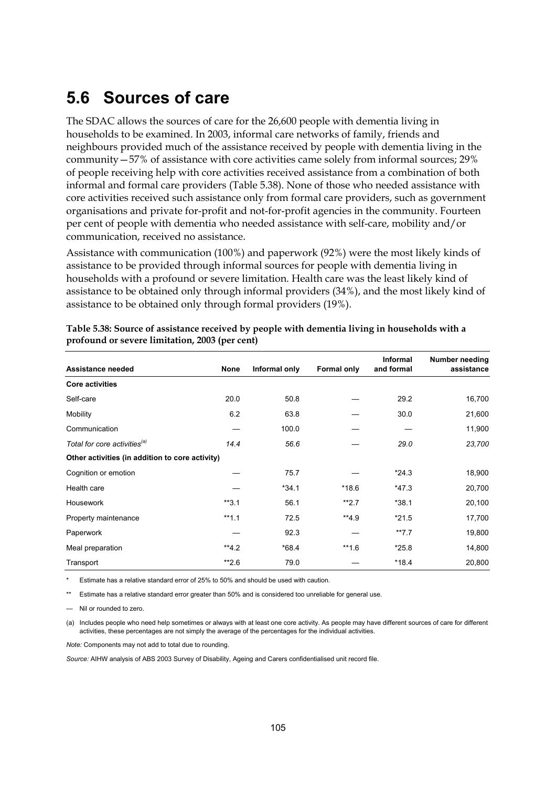## **5.6 Sources of care**

The SDAC allows the sources of care for the 26,600 people with dementia living in households to be examined. In 2003, informal care networks of family, friends and neighbours provided much of the assistance received by people with dementia living in the community—57% of assistance with core activities came solely from informal sources; 29% of people receiving help with core activities received assistance from a combination of both informal and formal care providers (Table 5.38). None of those who needed assistance with core activities received such assistance only from formal care providers, such as government organisations and private for-profit and not-for-profit agencies in the community. Fourteen per cent of people with dementia who needed assistance with self-care, mobility and/or communication, received no assistance.

Assistance with communication (100%) and paperwork (92%) were the most likely kinds of assistance to be provided through informal sources for people with dementia living in households with a profound or severe limitation. Health care was the least likely kind of assistance to be obtained only through informal providers (34%), and the most likely kind of assistance to be obtained only through formal providers (19%).

| Assistance needed                               | None    | Informal only | <b>Formal only</b> | <b>Informal</b><br>and formal | Number needing<br>assistance |
|-------------------------------------------------|---------|---------------|--------------------|-------------------------------|------------------------------|
| <b>Core activities</b>                          |         |               |                    |                               |                              |
| Self-care                                       | 20.0    | 50.8          |                    | 29.2                          | 16,700                       |
| Mobility                                        | 6.2     | 63.8          |                    | 30.0                          | 21,600                       |
| Communication                                   |         | 100.0         |                    |                               | 11,900                       |
| Total for core activities <sup>(a)</sup>        | 14.4    | 56.6          |                    | 29.0                          | 23,700                       |
| Other activities (in addition to core activity) |         |               |                    |                               |                              |
| Cognition or emotion                            |         | 75.7          |                    | $*24.3$                       | 18,900                       |
| Health care                                     |         | $*34.1$       | $*18.6$            | $*47.3$                       | 20,700                       |
| Housework                                       | $*3.1$  | 56.1          | $**2.7$            | $*38.1$                       | 20,100                       |
| Property maintenance                            | $**1.1$ | 72.5          | $**4.9$            | $*21.5$                       | 17,700                       |
| Paperwork                                       |         | 92.3          |                    | $**7.7$                       | 19,800                       |
| Meal preparation                                | $**4.2$ | $*68.4$       | $**1.6$            | $*25.8$                       | 14,800                       |
| Transport                                       | $*2.6$  | 79.0          |                    | $*18.4$                       | 20,800                       |

#### **Table 5.38: Source of assistance received by people with dementia living in households with a profound or severe limitation, 2003 (per cent)**

Estimate has a relative standard error of 25% to 50% and should be used with caution.

Estimate has a relative standard error greater than 50% and is considered too unreliable for general use.

Nil or rounded to zero.

(a) Includes people who need help sometimes or always with at least one core activity. As people may have different sources of care for different activities, these percentages are not simply the average of the percentages for the individual activities.

*Note:* Components may not add to total due to rounding.

*Source:* AIHW analysis of ABS 2003 Survey of Disability, Ageing and Carers confidentialised unit record file.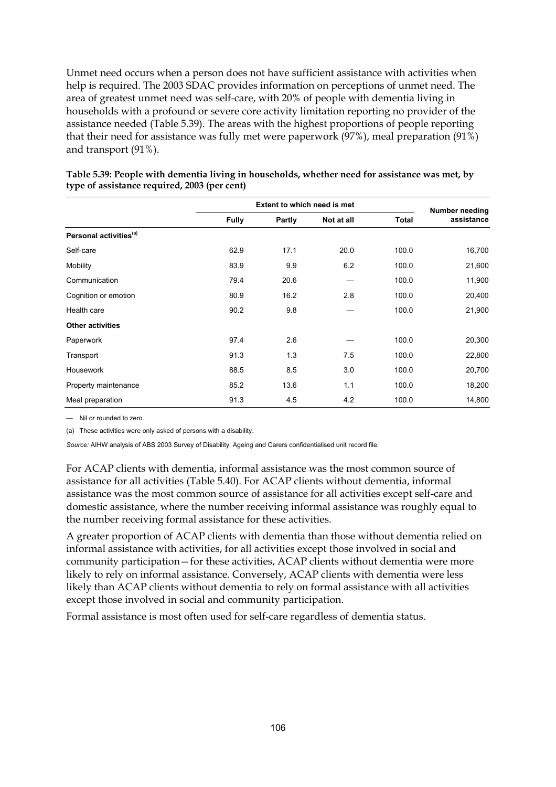Unmet need occurs when a person does not have sufficient assistance with activities when help is required. The 2003 SDAC provides information on perceptions of unmet need. The area of greatest unmet need was self-care, with 20% of people with dementia living in households with a profound or severe core activity limitation reporting no provider of the assistance needed (Table 5.39). The areas with the highest proportions of people reporting that their need for assistance was fully met were paperwork (97%), meal preparation (91%) and transport (91%).

|                                    |              | <b>Extent to which need is met</b> |            |              | Number needing |
|------------------------------------|--------------|------------------------------------|------------|--------------|----------------|
|                                    | <b>Fully</b> | Partly                             | Not at all | <b>Total</b> | assistance     |
| Personal activities <sup>(a)</sup> |              |                                    |            |              |                |
| Self-care                          | 62.9         | 17.1                               | 20.0       | 100.0        | 16,700         |
| Mobility                           | 83.9         | 9.9                                | 6.2        | 100.0        | 21,600         |
| Communication                      | 79.4         | 20.6                               |            | 100.0        | 11,900         |
| Cognition or emotion               | 80.9         | 16.2                               | 2.8        | 100.0        | 20,400         |
| Health care                        | 90.2         | 9.8                                |            | 100.0        | 21,900         |
| <b>Other activities</b>            |              |                                    |            |              |                |
| Paperwork                          | 97.4         | 2.6                                |            | 100.0        | 20,300         |
| Transport                          | 91.3         | 1.3                                | 7.5        | 100.0        | 22,800         |
| <b>Housework</b>                   | 88.5         | 8.5                                | 3.0        | 100.0        | 20,700         |
| Property maintenance               | 85.2         | 13.6                               | 1.1        | 100.0        | 18,200         |
| Meal preparation                   | 91.3         | 4.5                                | 4.2        | 100.0        | 14,800         |

### **Table 5.39: People with dementia living in households, whether need for assistance was met, by type of assistance required, 2003 (per cent)**

— Nil or rounded to zero.

(a) These activities were only asked of persons with a disability.

*Source:* AIHW analysis of ABS 2003 Survey of Disability, Ageing and Carers confidentialised unit record file.

For ACAP clients with dementia, informal assistance was the most common source of assistance for all activities (Table 5.40). For ACAP clients without dementia, informal assistance was the most common source of assistance for all activities except self-care and domestic assistance, where the number receiving informal assistance was roughly equal to the number receiving formal assistance for these activities.

A greater proportion of ACAP clients with dementia than those without dementia relied on informal assistance with activities, for all activities except those involved in social and community participation—for these activities, ACAP clients without dementia were more likely to rely on informal assistance. Conversely, ACAP clients with dementia were less likely than ACAP clients without dementia to rely on formal assistance with all activities except those involved in social and community participation.

Formal assistance is most often used for self-care regardless of dementia status.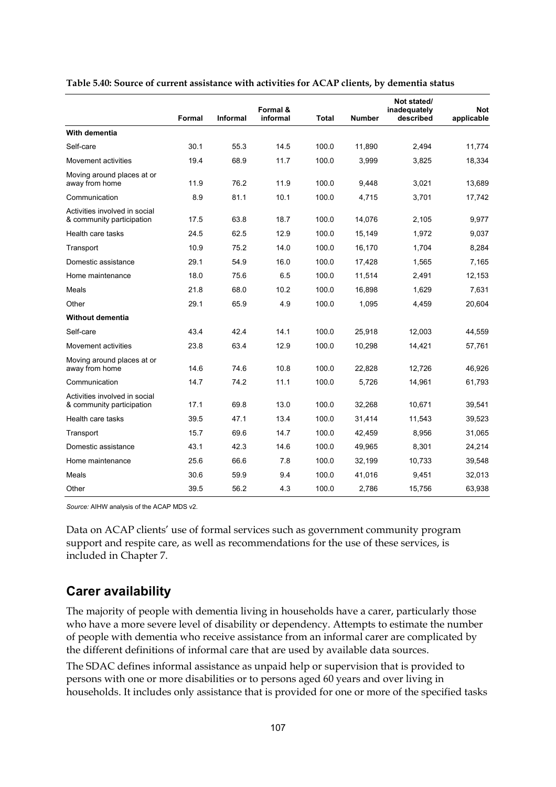|                                                            | Formal | <b>Informal</b> | Formal &<br>informal | Total | <b>Number</b> | Not stated/<br>inadequately<br>described | <b>Not</b><br>applicable |
|------------------------------------------------------------|--------|-----------------|----------------------|-------|---------------|------------------------------------------|--------------------------|
| With dementia                                              |        |                 |                      |       |               |                                          |                          |
| Self-care                                                  | 30.1   | 55.3            | 14.5                 | 100.0 | 11,890        | 2,494                                    | 11,774                   |
| Movement activities                                        | 19.4   | 68.9            | 11.7                 | 100.0 | 3,999         | 3,825                                    | 18,334                   |
| Moving around places at or<br>away from home               | 11.9   | 76.2            | 11.9                 | 100.0 | 9,448         | 3,021                                    | 13,689                   |
| Communication                                              | 8.9    | 81.1            | 10.1                 | 100.0 | 4,715         | 3,701                                    | 17,742                   |
| Activities involved in social<br>& community participation | 17.5   | 63.8            | 18.7                 | 100.0 | 14,076        | 2,105                                    | 9,977                    |
| Health care tasks                                          | 24.5   | 62.5            | 12.9                 | 100.0 | 15,149        | 1,972                                    | 9,037                    |
| Transport                                                  | 10.9   | 75.2            | 14.0                 | 100.0 | 16,170        | 1,704                                    | 8,284                    |
| Domestic assistance                                        | 29.1   | 54.9            | 16.0                 | 100.0 | 17,428        | 1,565                                    | 7,165                    |
| Home maintenance                                           | 18.0   | 75.6            | 6.5                  | 100.0 | 11,514        | 2,491                                    | 12,153                   |
| Meals                                                      | 21.8   | 68.0            | 10.2                 | 100.0 | 16.898        | 1,629                                    | 7,631                    |
| Other                                                      | 29.1   | 65.9            | 4.9                  | 100.0 | 1,095         | 4,459                                    | 20,604                   |
| <b>Without dementia</b>                                    |        |                 |                      |       |               |                                          |                          |
| Self-care                                                  | 43.4   | 42.4            | 14.1                 | 100.0 | 25,918        | 12,003                                   | 44,559                   |
| Movement activities                                        | 23.8   | 63.4            | 12.9                 | 100.0 | 10,298        | 14,421                                   | 57,761                   |
| Moving around places at or<br>away from home               | 14.6   | 74.6            | 10.8                 | 100.0 | 22,828        | 12,726                                   | 46,926                   |
| Communication                                              | 14.7   | 74.2            | 11.1                 | 100.0 | 5.726         | 14,961                                   | 61,793                   |
| Activities involved in social<br>& community participation | 17.1   | 69.8            | 13.0                 | 100.0 | 32,268        | 10,671                                   | 39,541                   |
| Health care tasks                                          | 39.5   | 47.1            | 13.4                 | 100.0 | 31,414        | 11,543                                   | 39,523                   |
| Transport                                                  | 15.7   | 69.6            | 14.7                 | 100.0 | 42,459        | 8,956                                    | 31,065                   |
| Domestic assistance                                        | 43.1   | 42.3            | 14.6                 | 100.0 | 49,965        | 8,301                                    | 24,214                   |
| Home maintenance                                           | 25.6   | 66.6            | 7.8                  | 100.0 | 32,199        | 10,733                                   | 39,548                   |
| Meals                                                      | 30.6   | 59.9            | 9.4                  | 100.0 | 41,016        | 9,451                                    | 32,013                   |
| Other                                                      | 39.5   | 56.2            | 4.3                  | 100.0 | 2,786         | 15,756                                   | 63,938                   |

#### **Table 5.40: Source of current assistance with activities for ACAP clients, by dementia status**

*Source:* AIHW analysis of the ACAP MDS v2.

Data on ACAP clients' use of formal services such as government community program support and respite care, as well as recommendations for the use of these services, is included in Chapter 7.

### **Carer availability**

The majority of people with dementia living in households have a carer, particularly those who have a more severe level of disability or dependency. Attempts to estimate the number of people with dementia who receive assistance from an informal carer are complicated by the different definitions of informal care that are used by available data sources.

The SDAC defines informal assistance as unpaid help or supervision that is provided to persons with one or more disabilities or to persons aged 60 years and over living in households. It includes only assistance that is provided for one or more of the specified tasks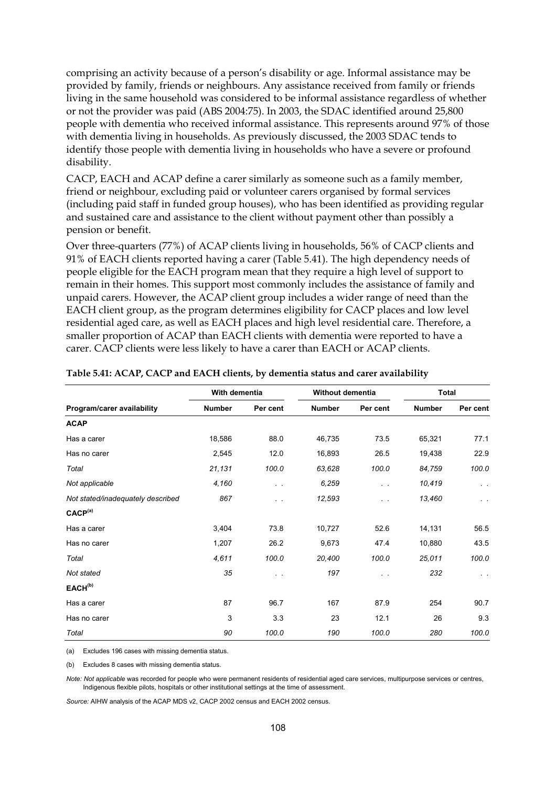comprising an activity because of a person's disability or age. Informal assistance may be provided by family, friends or neighbours. Any assistance received from family or friends living in the same household was considered to be informal assistance regardless of whether or not the provider was paid (ABS 2004:75). In 2003, the SDAC identified around 25,800 people with dementia who received informal assistance. This represents around 97% of those with dementia living in households. As previously discussed, the 2003 SDAC tends to identify those people with dementia living in households who have a severe or profound disability.

CACP, EACH and ACAP define a carer similarly as someone such as a family member, friend or neighbour, excluding paid or volunteer carers organised by formal services (including paid staff in funded group houses), who has been identified as providing regular and sustained care and assistance to the client without payment other than possibly a pension or benefit.

Over three-quarters (77%) of ACAP clients living in households, 56% of CACP clients and 91% of EACH clients reported having a carer (Table 5.41). The high dependency needs of people eligible for the EACH program mean that they require a high level of support to remain in their homes. This support most commonly includes the assistance of family and unpaid carers. However, the ACAP client group includes a wider range of need than the EACH client group, as the program determines eligibility for CACP places and low level residential aged care, as well as EACH places and high level residential care. Therefore, a smaller proportion of ACAP than EACH clients with dementia were reported to have a carer. CACP clients were less likely to have a carer than EACH or ACAP clients.

|                                   | With dementia |           | Without dementia |               | Total  |                     |
|-----------------------------------|---------------|-----------|------------------|---------------|--------|---------------------|
| Program/carer availability        | Number        | Per cent  | <b>Number</b>    | Per cent      | Number | Per cent            |
| <b>ACAP</b>                       |               |           |                  |               |        |                     |
| Has a carer                       | 18,586        | 88.0      | 46,735           | 73.5          | 65,321 | 77.1                |
| Has no carer                      | 2,545         | 12.0      | 16,893           | 26.5          | 19,438 | 22.9                |
| Total                             | 21,131        | 100.0     | 63,628           | 100.0         | 84,759 | 100.0               |
| Not applicable                    | 4,160         | $\ddotsc$ | 6,259            | $\sim$ $\sim$ | 10,419 | $\sigma_{\rm{max}}$ |
| Not stated/inadequately described | 867           | $\sim$    | 12,593           | . .           | 13,460 | $\sim$ $\sim$       |
| CACP <sup>(a)</sup>               |               |           |                  |               |        |                     |
| Has a carer                       | 3,404         | 73.8      | 10,727           | 52.6          | 14,131 | 56.5                |
| Has no carer                      | 1,207         | 26.2      | 9,673            | 47.4          | 10,880 | 43.5                |
| Total                             | 4,611         | 100.0     | 20,400           | 100.0         | 25,011 | 100.0               |
| Not stated                        | 35            | $\sim$    | 197              | $\sim$ $\sim$ | 232    | $\alpha = \alpha$ . |
| EACH <sup>(b)</sup>               |               |           |                  |               |        |                     |
| Has a carer                       | 87            | 96.7      | 167              | 87.9          | 254    | 90.7                |
| Has no carer                      | 3             | 3.3       | 23               | 12.1          | 26     | 9.3                 |
| Total                             | 90            | 100.0     | 190              | 100.0         | 280    | 100.0               |

#### **Table 5.41: ACAP, CACP and EACH clients, by dementia status and carer availability**

(a) Excludes 196 cases with missing dementia status.

(b) Excludes 8 cases with missing dementia status.

*Note: Not applicable* was recorded for people who were permanent residents of residential aged care services, multipurpose services or centres, Indigenous flexible pilots, hospitals or other institutional settings at the time of assessment.

*Source:* AIHW analysis of the ACAP MDS v2, CACP 2002 census and EACH 2002 census.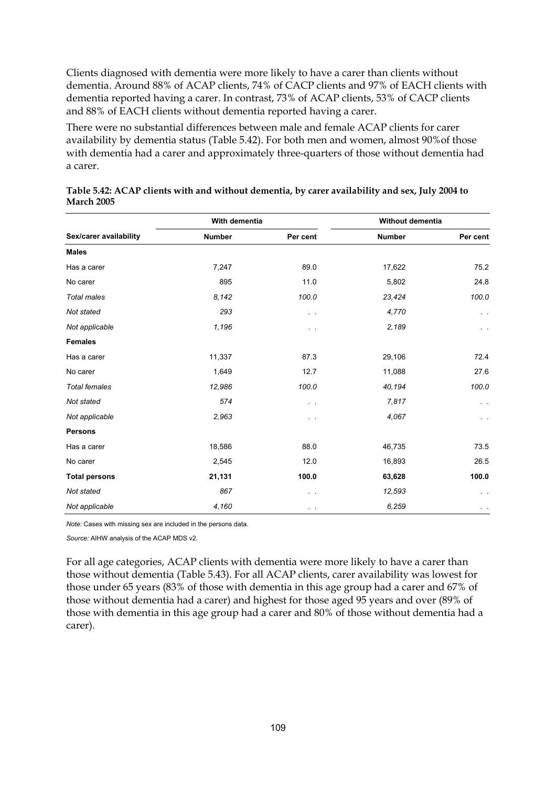Clients diagnosed with dementia were more likely to have a carer than clients without dementia. Around 88% of ACAP clients, 74% of CACP clients and 97% of EACH clients with dementia reported having a carer. In contrast, 73% of ACAP clients, 53% of CACP clients and 88% of EACH clients without dementia reported having a carer.

There were no substantial differences between male and female ACAP clients for carer availability by dementia status (Table 5.42). For both men and women, almost 90%of those with dementia had a carer and approximately three-quarters of those without dementia had a carer.

|                        | With dementia |               | Without dementia |               |
|------------------------|---------------|---------------|------------------|---------------|
| Sex/carer availability | <b>Number</b> | Per cent      | <b>Number</b>    | Per cent      |
| <b>Males</b>           |               |               |                  |               |
| Has a carer            | 7,247         | 89.0          | 17,622           | 75.2          |
| No carer               | 895           | 11.0          | 5,802            | 24.8          |
| Total males            | 8,142         | 100.0         | 23,424           | 100.0         |
| Not stated             | 293           | $\sim$ $\sim$ | 4,770            | $\sim$ $\sim$ |
| Not applicable         | 1,196         | . .           | 2,189            | $\epsilon$ .  |
| <b>Females</b>         |               |               |                  |               |
| Has a carer            | 11,337        | 87.3          | 29,106           | 72.4          |
| No carer               | 1,649         | 12.7          | 11,088           | 27.6          |
| <b>Total females</b>   | 12,986        | 100.0         | 40,194           | 100.0         |
| Not stated             | 574           | $\ddotsc$     | 7,817            | $\epsilon$ .  |
| Not applicable         | 2,963         | $\sim$        | 4,067            | $\sim$ $\sim$ |
| <b>Persons</b>         |               |               |                  |               |
| Has a carer            | 18,586        | 88.0          | 46,735           | 73.5          |
| No carer               | 2,545         | 12.0          | 16,893           | 26.5          |
| <b>Total persons</b>   | 21,131        | 100.0         | 63,628           | 100.0         |
| Not stated             | 867           | . .           | 12,593           | $\sim$        |
| Not applicable         | 4,160         | $\sim$        | 6,259            | $\epsilon$ .  |

| Table 5.42: ACAP clients with and without dementia, by carer availability and sex, July 2004 to |  |
|-------------------------------------------------------------------------------------------------|--|
| <b>March 2005</b>                                                                               |  |

*Note:* Cases with missing sex are included in the persons data.

*Source:* AIHW analysis of the ACAP MDS v2.

For all age categories, ACAP clients with dementia were more likely to have a carer than those without dementia (Table 5.43). For all ACAP clients, carer availability was lowest for those under 65 years (83% of those with dementia in this age group had a carer and 67% of those without dementia had a carer) and highest for those aged 95 years and over (89% of those with dementia in this age group had a carer and 80% of those without dementia had a carer).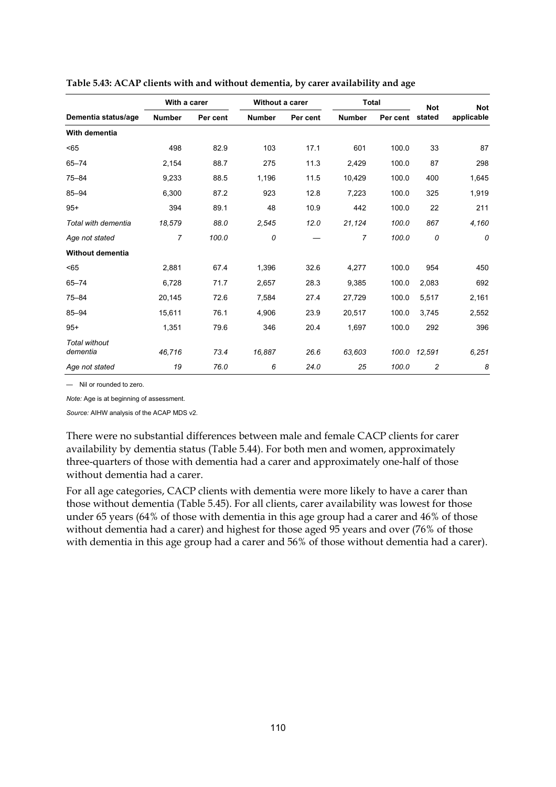|                                  | With a carer  |          | Without a carer |          | <b>Total</b>   |          | <b>Not</b>     | <b>Not</b> |
|----------------------------------|---------------|----------|-----------------|----------|----------------|----------|----------------|------------|
| Dementia status/age              | <b>Number</b> | Per cent | <b>Number</b>   | Per cent | <b>Number</b>  | Per cent | stated         | applicable |
| With dementia                    |               |          |                 |          |                |          |                |            |
| < 65                             | 498           | 82.9     | 103             | 17.1     | 601            | 100.0    | 33             | 87         |
| $65 - 74$                        | 2,154         | 88.7     | 275             | 11.3     | 2,429          | 100.0    | 87             | 298        |
| $75 - 84$                        | 9,233         | 88.5     | 1,196           | 11.5     | 10,429         | 100.0    | 400            | 1,645      |
| $85 - 94$                        | 6,300         | 87.2     | 923             | 12.8     | 7,223          | 100.0    | 325            | 1,919      |
| $95+$                            | 394           | 89.1     | 48              | 10.9     | 442            | 100.0    | 22             | 211        |
| Total with dementia              | 18,579        | 88.0     | 2,545           | 12.0     | 21,124         | 100.0    | 867            | 4,160      |
| Age not stated                   | 7             | 100.0    | 0               |          | $\overline{7}$ | 100.0    | 0              | 0          |
| <b>Without dementia</b>          |               |          |                 |          |                |          |                |            |
| < 65                             | 2,881         | 67.4     | 1,396           | 32.6     | 4,277          | 100.0    | 954            | 450        |
| $65 - 74$                        | 6,728         | 71.7     | 2,657           | 28.3     | 9,385          | 100.0    | 2,083          | 692        |
| $75 - 84$                        | 20,145        | 72.6     | 7,584           | 27.4     | 27,729         | 100.0    | 5,517          | 2,161      |
| $85 - 94$                        | 15,611        | 76.1     | 4,906           | 23.9     | 20,517         | 100.0    | 3,745          | 2,552      |
| $95+$                            | 1,351         | 79.6     | 346             | 20.4     | 1,697          | 100.0    | 292            | 396        |
| <b>Total without</b><br>dementia | 46,716        | 73.4     | 16,887          | 26.6     | 63,603         | 100.0    | 12,591         | 6,251      |
| Age not stated                   | 19            | 76.0     | 6               | 24.0     | 25             | 100.0    | $\overline{c}$ | 8          |

**Table 5.43: ACAP clients with and without dementia, by carer availability and age** 

— Nil or rounded to zero.

*Note:* Age is at beginning of assessment.

*Source:* AIHW analysis of the ACAP MDS v2.

There were no substantial differences between male and female CACP clients for carer availability by dementia status (Table 5.44). For both men and women, approximately three-quarters of those with dementia had a carer and approximately one-half of those without dementia had a carer.

For all age categories, CACP clients with dementia were more likely to have a carer than those without dementia (Table 5.45). For all clients, carer availability was lowest for those under 65 years (64% of those with dementia in this age group had a carer and 46% of those without dementia had a carer) and highest for those aged 95 years and over (76% of those with dementia in this age group had a carer and 56% of those without dementia had a carer).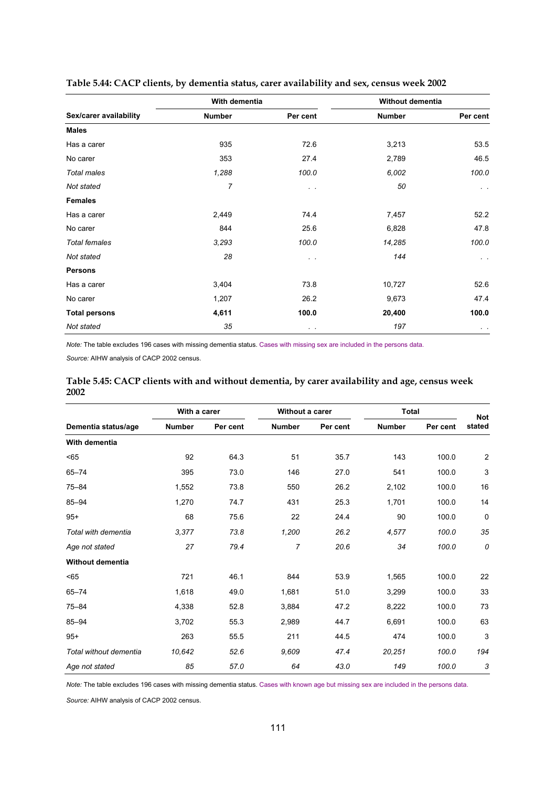|                        | With dementia |                | Without dementia |            |
|------------------------|---------------|----------------|------------------|------------|
| Sex/carer availability | <b>Number</b> | Per cent       | <b>Number</b>    | Per cent   |
| <b>Males</b>           |               |                |                  |            |
| Has a carer            | 935           | 72.6           | 3,213            | 53.5       |
| No carer               | 353           | 27.4           | 2,789            | 46.5       |
| Total males            | 1,288         | 100.0          | 6,002            | 100.0      |
| Not stated             | 7             | $\sim$ $\sim$  | 50               | $\sim$ $-$ |
| <b>Females</b>         |               |                |                  |            |
| Has a carer            | 2,449         | 74.4           | 7,457            | 52.2       |
| No carer               | 844           | 25.6           | 6,828            | 47.8       |
| <b>Total females</b>   | 3,293         | 100.0          | 14,285           | 100.0      |
| Not stated             | 28            | $\sim$ $\sim$  | 144              | $\sim$     |
| <b>Persons</b>         |               |                |                  |            |
| Has a carer            | 3,404         | 73.8           | 10,727           | 52.6       |
| No carer               | 1,207         | 26.2           | 9,673            | 47.4       |
| <b>Total persons</b>   | 4,611         | 100.0          | 20,400           | 100.0      |
| Not stated             | 35            | $\sim$ $ \sim$ | 197              | $\sim$     |

### **Table 5.44: CACP clients, by dementia status, carer availability and sex, census week 2002**

*Note:* The table excludes 196 cases with missing dementia status. Cases with missing sex are included in the persons data.

*Source:* AIHW analysis of CACP 2002 census.

|      | Table 5.45: CACP clients with and without dementia, by carer availability and age, census week |  |  |
|------|------------------------------------------------------------------------------------------------|--|--|
| 2002 |                                                                                                |  |  |

|                         | With a carer  |          | Without a carer |          | <b>Total</b>  |          | <b>Not</b>     |
|-------------------------|---------------|----------|-----------------|----------|---------------|----------|----------------|
| Dementia status/age     | <b>Number</b> | Per cent | <b>Number</b>   | Per cent | <b>Number</b> | Per cent | stated         |
| With dementia           |               |          |                 |          |               |          |                |
| < 65                    | 92            | 64.3     | 51              | 35.7     | 143           | 100.0    | $\overline{2}$ |
| $65 - 74$               | 395           | 73.0     | 146             | 27.0     | 541           | 100.0    | 3              |
| $75 - 84$               | 1,552         | 73.8     | 550             | 26.2     | 2,102         | 100.0    | 16             |
| $85 - 94$               | 1,270         | 74.7     | 431             | 25.3     | 1,701         | 100.0    | 14             |
| $95+$                   | 68            | 75.6     | 22              | 24.4     | 90            | 100.0    | 0              |
| Total with dementia     | 3,377         | 73.8     | 1,200           | 26.2     | 4,577         | 100.0    | 35             |
| Age not stated          | 27            | 79.4     | $\overline{7}$  | 20.6     | 34            | 100.0    | 0              |
| <b>Without dementia</b> |               |          |                 |          |               |          |                |
| < 65                    | 721           | 46.1     | 844             | 53.9     | 1,565         | 100.0    | 22             |
| $65 - 74$               | 1,618         | 49.0     | 1,681           | 51.0     | 3,299         | 100.0    | 33             |
| $75 - 84$               | 4,338         | 52.8     | 3,884           | 47.2     | 8,222         | 100.0    | 73             |
| $85 - 94$               | 3,702         | 55.3     | 2,989           | 44.7     | 6,691         | 100.0    | 63             |
| $95+$                   | 263           | 55.5     | 211             | 44.5     | 474           | 100.0    | 3              |
| Total without dementia  | 10,642        | 52.6     | 9,609           | 47.4     | 20,251        | 100.0    | 194            |
| Age not stated          | 85            | 57.0     | 64              | 43.0     | 149           | 100.0    | 3              |

*Note:* The table excludes 196 cases with missing dementia status. Cases with known age but missing sex are included in the persons data.

*Source:* AIHW analysis of CACP 2002 census.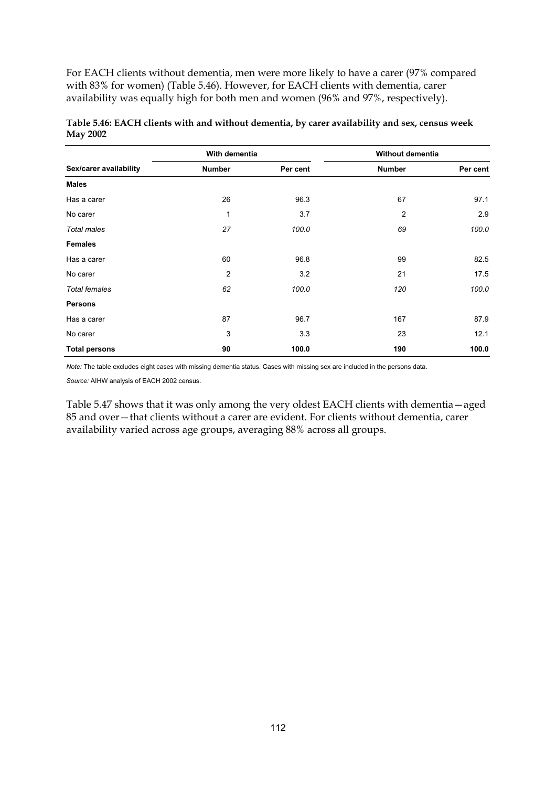For EACH clients without dementia, men were more likely to have a carer (97% compared with 83% for women) (Table 5.46). However, for EACH clients with dementia, carer availability was equally high for both men and women (96% and 97%, respectively).

|                        | With dementia  |          | Without dementia |          |
|------------------------|----------------|----------|------------------|----------|
| Sex/carer availability | <b>Number</b>  | Per cent | <b>Number</b>    | Per cent |
| <b>Males</b>           |                |          |                  |          |
| Has a carer            | 26             | 96.3     | 67               | 97.1     |
| No carer               | 1              | 3.7      | $\overline{2}$   | 2.9      |
| Total males            | 27             | 100.0    | 69               | 100.0    |
| <b>Females</b>         |                |          |                  |          |
| Has a carer            | 60             | 96.8     | 99               | 82.5     |
| No carer               | $\overline{2}$ | 3.2      | 21               | 17.5     |
| <b>Total females</b>   | 62             | 100.0    | 120              | 100.0    |
| <b>Persons</b>         |                |          |                  |          |
| Has a carer            | 87             | 96.7     | 167              | 87.9     |
| No carer               | 3              | 3.3      | 23               | 12.1     |
| <b>Total persons</b>   | 90             | 100.0    | 190              | 100.0    |

### **Table 5.46: EACH clients with and without dementia, by carer availability and sex, census week May 2002**

*Note:* The table excludes eight cases with missing dementia status. Cases with missing sex are included in the persons data.

*Source:* AIHW analysis of EACH 2002 census.

Table 5.47 shows that it was only among the very oldest EACH clients with dementia—aged 85 and over—that clients without a carer are evident. For clients without dementia, carer availability varied across age groups, averaging 88% across all groups.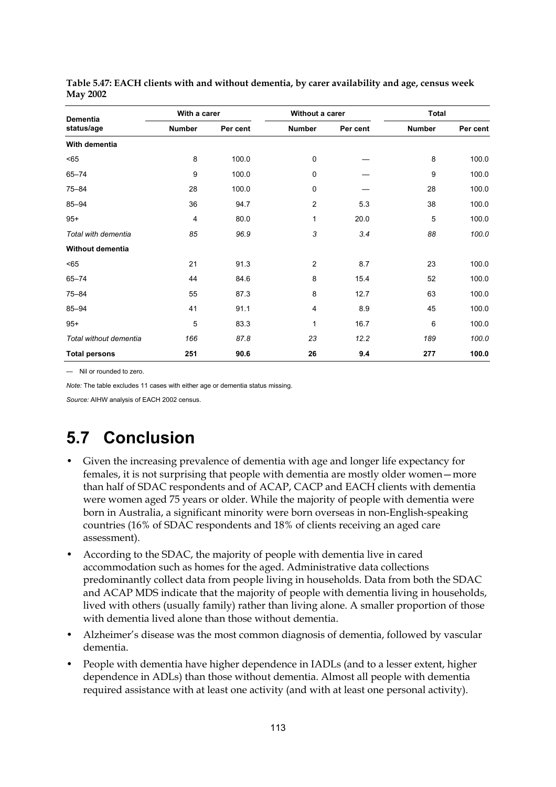| Dementia<br>status/age        | With a carer  |          | Without a carer |          | <b>Total</b>  |          |
|-------------------------------|---------------|----------|-----------------|----------|---------------|----------|
|                               | <b>Number</b> | Per cent | <b>Number</b>   | Per cent | <b>Number</b> | Per cent |
| With dementia                 |               |          |                 |          |               |          |
| $65$                          | 8             | 100.0    | $\pmb{0}$       |          | 8             | 100.0    |
| $65 - 74$                     | 9             | 100.0    | 0               |          | 9             | 100.0    |
| $75 - 84$                     | 28            | 100.0    | $\mathbf 0$     |          | 28            | 100.0    |
| $85 - 94$                     | 36            | 94.7     | $\overline{2}$  | 5.3      | 38            | 100.0    |
| $95+$                         | 4             | 80.0     | 1               | 20.0     | 5             | 100.0    |
| Total with dementia           | 85            | 96.9     | 3               | 3.4      | 88            | 100.0    |
| Without dementia              |               |          |                 |          |               |          |
| $65$                          | 21            | 91.3     | $\overline{2}$  | 8.7      | 23            | 100.0    |
| $65 - 74$                     | 44            | 84.6     | 8               | 15.4     | 52            | 100.0    |
| $75 - 84$                     | 55            | 87.3     | 8               | 12.7     | 63            | 100.0    |
| $85 - 94$                     | 41            | 91.1     | 4               | 8.9      | 45            | 100.0    |
| $95+$                         | 5             | 83.3     | $\mathbf{1}$    | 16.7     | 6             | 100.0    |
| <b>Total without dementia</b> | 166           | 87.8     | 23              | 12.2     | 189           | 100.0    |
| <b>Total persons</b>          | 251           | 90.6     | 26              | 9.4      | 277           | 100.0    |

**Table 5.47: EACH clients with and without dementia, by carer availability and age, census week May 2002** 

— Nil or rounded to zero.

*Note:* The table excludes 11 cases with either age or dementia status missing.

*Source:* AIHW analysis of EACH 2002 census.

## **5.7 Conclusion**

- Given the increasing prevalence of dementia with age and longer life expectancy for females, it is not surprising that people with dementia are mostly older women—more than half of SDAC respondents and of ACAP, CACP and EACH clients with dementia were women aged 75 years or older. While the majority of people with dementia were born in Australia, a significant minority were born overseas in non-English-speaking countries (16% of SDAC respondents and 18% of clients receiving an aged care assessment).
- According to the SDAC, the majority of people with dementia live in cared accommodation such as homes for the aged. Administrative data collections predominantly collect data from people living in households. Data from both the SDAC and ACAP MDS indicate that the majority of people with dementia living in households, lived with others (usually family) rather than living alone. A smaller proportion of those with dementia lived alone than those without dementia.
- Alzheimer's disease was the most common diagnosis of dementia, followed by vascular dementia.
- People with dementia have higher dependence in IADLs (and to a lesser extent, higher dependence in ADLs) than those without dementia. Almost all people with dementia required assistance with at least one activity (and with at least one personal activity).